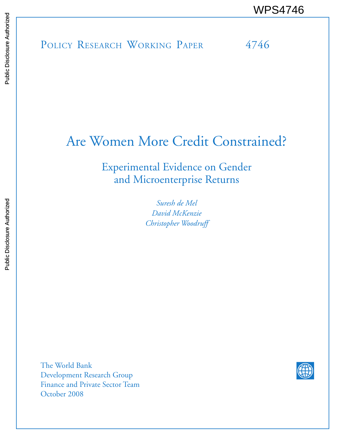# Are Women More Credit Constrained?

Experimental Evidence on Gender and Microenterprise Returns

> *Suresh de Mel David McKenzie Christopher Woodruff*

The World Bank Development Research Group Finance and Private Sector Team October 2008

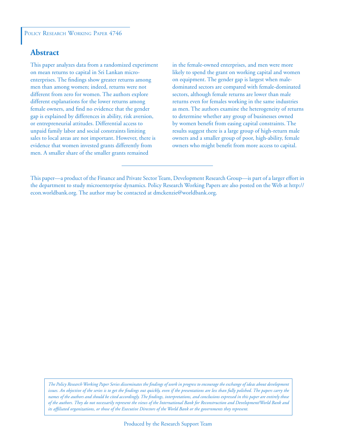## **Abstract**

This paper analyzes data from a randomized experiment on mean returns to capital in Sri Lankan microenterprises. The findings show greater returns among men than among women; indeed, returns were not different from zero for women. The authors explore different explanations for the lower returns among female owners, and find no evidence that the gender gap is explained by differences in ability, risk aversion, or entrepreneurial attitudes. Differential access to unpaid family labor and social constraints limiting sales to local areas are not important. However, there is evidence that women invested grants differently from men. A smaller share of the smaller grants remained

in the female-owned enterprises, and men were more likely to spend the grant on working capital and women on equipment. The gender gap is largest when maledominated sectors are compared with female-dominated sectors, although female returns are lower than male returns even for females working in the same industries as men. The authors examine the heterogeneity of returns to determine whether any group of businesses owned by women benefit from easing capital constraints. The results suggest there is a large group of high-return male owners and a smaller group of poor, high-ability, female owners who might benefit from more access to capital.

*The Policy Research Working Paper Series disseminates the findings of work in progress to encourage the exchange of ideas about development*  issues. An objective of the series is to get the findings out quickly, even if the presentations are less than fully polished. The papers carry the *names of the authors and should be cited accordingly. The findings, interpretations, and conclusions expressed in this paper are entirely those of the authors. They do not necessarily represent the views of the International Bank for Reconstruction and Development/World Bank and its affiliated organizations, or those of the Executive Directors of the World Bank or the governments they represent.*

This paper—a product of the Finance and Private Sector Team, Development Research Group—is part of a larger effort in the department to study microenterprise dynamics. Policy Research Working Papers are also posted on the Web at http:// econ.worldbank.org. The author may be contacted at dmckenzie@worldbank.org.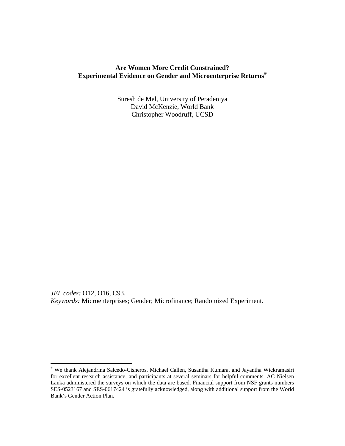## **Are Women More Credit Constrained? Experimental Evidence on Gender and Microenterprise Returns[#](#page-2-0)**

Suresh de Mel, University of Peradeniya David McKenzie, World Bank Christopher Woodruff, UCSD

*JEL codes:* O12, O16, C93. *Keywords:* Microenterprises; Gender; Microfinance; Randomized Experiment.

<span id="page-2-0"></span> # We thank Alejandrina Salcedo-Cisneros, Michael Callen, Susantha Kumara, and Jayantha Wickramasiri for excellent research assistance, and participants at several seminars for helpful comments. AC Nielsen Lanka administered the surveys on which the data are based. Financial support from NSF grants numbers SES-0523167 and SES-0617424 is gratefully acknowledged, along with additional support from the World Bank's Gender Action Plan.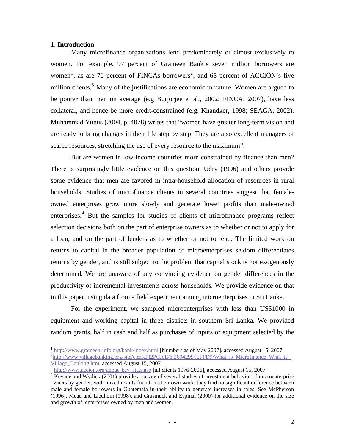#### 1. **Introduction**

 $\overline{a}$ 

Many microfinance organizations lend predominately or almost exclusively to women. For example, 97 percent of Grameen Bank's seven million borrowers are women<sup>[1](#page-3-0)</sup>, as are 70 percent of FINCAs borrowers<sup>[2](#page-3-1)</sup>, and 65 percent of ACCIÓN's five million clients.<sup>[3](#page-3-2)</sup> Many of the justifications are economic in nature. Women are argued to be poorer than men on average (e.g Burjorjee et al., 2002; FINCA, 2007), have less collateral, and hence be more credit-constrained (e.g. Khandker, 1998; SEAGA, 2002). Muhammad Yunus (2004, p. 4078) writes that "women have greater long-term vision and are ready to bring changes in their life step by step. They are also excellent managers of scarce resources, stretching the use of every resource to the maximum".

But are women in low-income countries more constrained by finance than men? There is surprisingly little evidence on this question. Udry (1996) and others provide some evidence that men are favored in intra-household allocation of resources in rural households. Studies of microfinance clients in several countries suggest that femaleowned enterprises grow more slowly and generate lower profits than male-owned enterprises.<sup>[4](#page-3-3)</sup> But the samples for studies of clients of microfinance programs reflect selection decisions both on the part of enterprise owners as to whether or not to apply for a loan, and on the part of lenders as to whether or not to lend. The limited work on returns to capital in the broader population of microenterprises seldom differentiates returns by gender, and is still subject to the problem that capital stock is not exogenously determined. We are unaware of any convincing evidence on gender differences in the productivity of incremental investments across households. We provide evidence on that in this paper, using data from a field experiment among microenterprises in Sri Lanka.

For the experiment, we sampled microenterprises with less than US\$1000 in equipment and working capital in three districts in southern Sri Lanka. We provided random grants, half in cash and half as purchases of inputs or equipment selected by the

<span id="page-3-1"></span><span id="page-3-0"></span><sup>1</sup> <http://www.grameen-info.org/bank/index.html> [Numbers as of May 2007], accessed August 15, 2007. <sup>2</sup>[http://www.villagebanking.org/site/c.erKPI2PCIoE/b.2604299/k.FFD9/What\\_is\\_Microfinance\\_What\\_is\\_](http://www.villagebanking.org/site/c.erKPI2PCIoE/b.2604299/k.FFD9/What_is_Microfinance_What_is_Village_Banking.htm)<br>Village\_Banking.htm, accessed August 15, 2007.

<span id="page-3-2"></span> $\frac{3 \text{ http://www.accion.org/about\_key\_stats.asp}}{3 \text{ http://www.accion.org/about\_key\_stats.asp}}$  $\frac{3 \text{ http://www.accion.org/about\_key\_stats.asp}}{3 \text{ http://www.accion.org/about\_key\_stats.asp}}$  $\frac{3 \text{ http://www.accion.org/about\_key\_stats.asp}}{3 \text{ http://www.accion.org/about\_key\_stats.asp}}$  [all clients 1976-2006], accessed August 15, 2007.

<span id="page-3-3"></span><sup>&</sup>lt;sup>4</sup> Kevane and Wydick (2001) provide a survey of several studies of investment behavior of microenterprise owners by gender, with mixed results found. In their own work, they find no significant difference between male and female borrowers in Guatemala in their ability to generate increases in sales. See McPherson (1996), Mead and Liedhom (1998), and Grasmuck and Espinal (2000) for additional evidence on the size and growth of enterprises owned by men and women.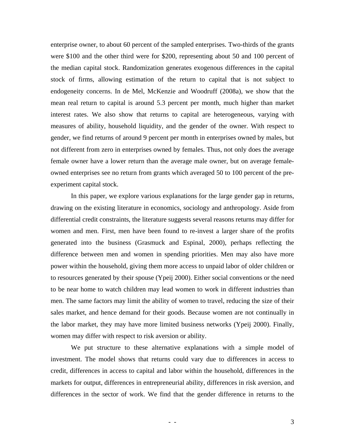enterprise owner, to about 60 percent of the sampled enterprises. Two-thirds of the grants were \$100 and the other third were for \$200, representing about 50 and 100 percent of the median capital stock. Randomization generates exogenous differences in the capital stock of firms, allowing estimation of the return to capital that is not subject to endogeneity concerns. In de Mel, McKenzie and Woodruff (2008a), we show that the mean real return to capital is around 5.3 percent per month, much higher than market interest rates. We also show that returns to capital are heterogeneous, varying with measures of ability, household liquidity, and the gender of the owner. With respect to gender, we find returns of around 9 percent per month in enterprises owned by males, but not different from zero in enterprises owned by females. Thus, not only does the average female owner have a lower return than the average male owner, but on average femaleowned enterprises see no return from grants which averaged 50 to 100 percent of the preexperiment capital stock.

In this paper, we explore various explanations for the large gender gap in returns, drawing on the existing literature in economics, sociology and anthropology. Aside from differential credit constraints, the literature suggests several reasons returns may differ for women and men. First, men have been found to re-invest a larger share of the profits generated into the business (Grasmuck and Espinal, 2000), perhaps reflecting the difference between men and women in spending priorities. Men may also have more power within the household, giving them more access to unpaid labor of older children or to resources generated by their spouse (Ypeij 2000). Either social conventions or the need to be near home to watch children may lead women to work in different industries than men. The same factors may limit the ability of women to travel, reducing the size of their sales market, and hence demand for their goods. Because women are not continually in the labor market, they may have more limited business networks (Ypeij 2000). Finally, women may differ with respect to risk aversion or ability.

We put structure to these alternative explanations with a simple model of investment. The model shows that returns could vary due to differences in access to credit, differences in access to capital and labor within the household, differences in the markets for output, differences in entrepreneurial ability, differences in risk aversion, and differences in the sector of work. We find that the gender difference in returns to the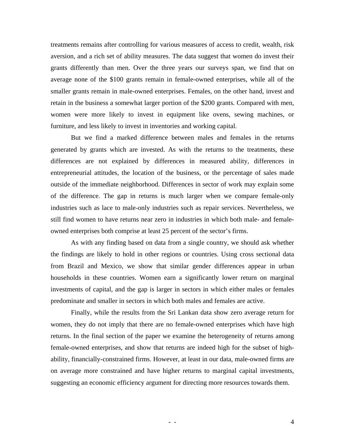treatments remains after controlling for various measures of access to credit, wealth, risk aversion, and a rich set of ability measures. The data suggest that women do invest their grants differently than men. Over the three years our surveys span, we find that on average none of the \$100 grants remain in female-owned enterprises, while all of the smaller grants remain in male-owned enterprises. Females, on the other hand, invest and retain in the business a somewhat larger portion of the \$200 grants. Compared with men, women were more likely to invest in equipment like ovens, sewing machines, or furniture, and less likely to invest in inventories and working capital.

But we find a marked difference between males and females in the returns generated by grants which are invested. As with the returns to the treatments, these differences are not explained by differences in measured ability, differences in entrepreneurial attitudes, the location of the business, or the percentage of sales made outside of the immediate neighborhood. Differences in sector of work may explain some of the difference. The gap in returns is much larger when we compare female-only industries such as lace to male-only industries such as repair services. Nevertheless, we still find women to have returns near zero in industries in which both male- and femaleowned enterprises both comprise at least 25 percent of the sector's firms.

As with any finding based on data from a single country, we should ask whether the findings are likely to hold in other regions or countries. Using cross sectional data from Brazil and Mexico, we show that similar gender differences appear in urban households in these countries. Women earn a significantly lower return on marginal investments of capital, and the gap is larger in sectors in which either males or females predominate and smaller in sectors in which both males and females are active.

Finally, while the results from the Sri Lankan data show zero average return for women, they do not imply that there are no female-owned enterprises which have high returns. In the final section of the paper we examine the heterogeneity of returns among female-owned enterprises, and show that returns are indeed high for the subset of highability, financially-constrained firms. However, at least in our data, male-owned firms are on average more constrained and have higher returns to marginal capital investments, suggesting an economic efficiency argument for directing more resources towards them.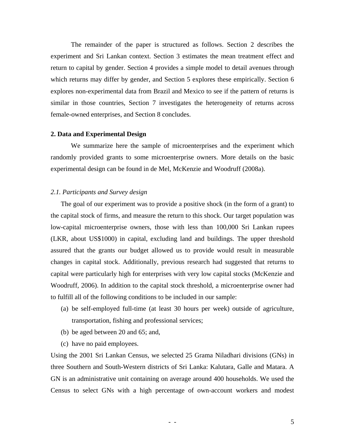The remainder of the paper is structured as follows. Section 2 describes the experiment and Sri Lankan context. Section 3 estimates the mean treatment effect and return to capital by gender. Section 4 provides a simple model to detail avenues through which returns may differ by gender, and Section 5 explores these empirically. Section 6 explores non-experimental data from Brazil and Mexico to see if the pattern of returns is similar in those countries, Section 7 investigates the heterogeneity of returns across female-owned enterprises, and Section 8 concludes.

#### **2. Data and Experimental Design**

We summarize here the sample of microenterprises and the experiment which randomly provided grants to some microenterprise owners. More details on the basic experimental design can be found in de Mel, McKenzie and Woodruff (2008a).

#### *2.1. Participants and Survey design*

The goal of our experiment was to provide a positive shock (in the form of a grant) to the capital stock of firms, and measure the return to this shock. Our target population was low-capital microenterprise owners, those with less than 100,000 Sri Lankan rupees (LKR, about US\$1000) in capital, excluding land and buildings. The upper threshold assured that the grants our budget allowed us to provide would result in measurable changes in capital stock. Additionally, previous research had suggested that returns to capital were particularly high for enterprises with very low capital stocks (McKenzie and Woodruff, 2006). In addition to the capital stock threshold, a microenterprise owner had to fulfill all of the following conditions to be included in our sample:

- (a) be self-employed full-time (at least 30 hours per week) outside of agriculture, transportation, fishing and professional services;
- (b) be aged between 20 and 65; and,
- (c) have no paid employees.

Using the 2001 Sri Lankan Census, we selected 25 Grama Niladhari divisions (GNs) in three Southern and South-Western districts of Sri Lanka: Kalutara, Galle and Matara. A GN is an administrative unit containing on average around 400 households. We used the Census to select GNs with a high percentage of own-account workers and modest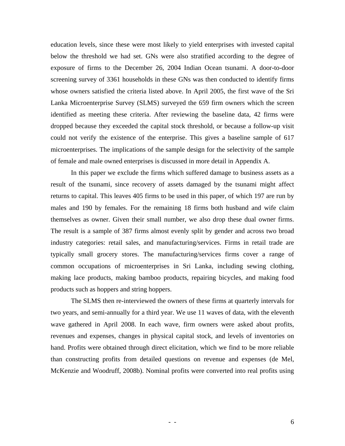education levels, since these were most likely to yield enterprises with invested capital below the threshold we had set. GNs were also stratified according to the degree of exposure of firms to the December 26, 2004 Indian Ocean tsunami. A door-to-door screening survey of 3361 households in these GNs was then conducted to identify firms whose owners satisfied the criteria listed above. In April 2005, the first wave of the Sri Lanka Microenterprise Survey (SLMS) surveyed the 659 firm owners which the screen identified as meeting these criteria. After reviewing the baseline data, 42 firms were dropped because they exceeded the capital stock threshold, or because a follow-up visit could not verify the existence of the enterprise. This gives a baseline sample of 617 microenterprises. The implications of the sample design for the selectivity of the sample of female and male owned enterprises is discussed in more detail in Appendix A.

 In this paper we exclude the firms which suffered damage to business assets as a result of the tsunami, since recovery of assets damaged by the tsunami might affect returns to capital. This leaves 405 firms to be used in this paper, of which 197 are run by males and 190 by females. For the remaining 18 firms both husband and wife claim themselves as owner. Given their small number, we also drop these dual owner firms. The result is a sample of 387 firms almost evenly split by gender and across two broad industry categories: retail sales, and manufacturing/services. Firms in retail trade are typically small grocery stores. The manufacturing/services firms cover a range of common occupations of microenterprises in Sri Lanka, including sewing clothing, making lace products, making bamboo products, repairing bicycles, and making food products such as hoppers and string hoppers.

 The SLMS then re-interviewed the owners of these firms at quarterly intervals for two years, and semi-annually for a third year. We use 11 waves of data, with the eleventh wave gathered in April 2008. In each wave, firm owners were asked about profits, revenues and expenses, changes in physical capital stock, and levels of inventories on hand. Profits were obtained through direct elicitation, which we find to be more reliable than constructing profits from detailed questions on revenue and expenses (de Mel, McKenzie and Woodruff, 2008b). Nominal profits were converted into real profits using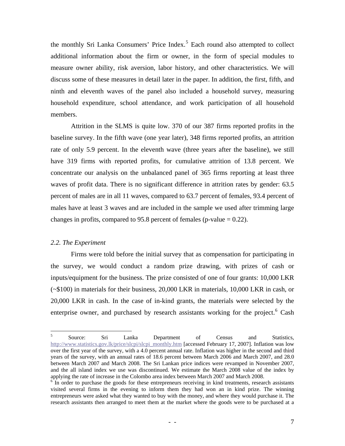the monthly Sri Lanka Consumers' Price Index.<sup>[5](#page-8-0)</sup> Each round also attempted to collect additional information about the firm or owner, in the form of special modules to measure owner ability, risk aversion, labor history, and other characteristics. We will discuss some of these measures in detail later in the paper. In addition, the first, fifth, and ninth and eleventh waves of the panel also included a household survey, measuring household expenditure, school attendance, and work participation of all household members.

 Attrition in the SLMS is quite low. 370 of our 387 firms reported profits in the baseline survey. In the fifth wave (one year later), 348 firms reported profits, an attrition rate of only 5.9 percent. In the eleventh wave (three years after the baseline), we still have 319 firms with reported profits, for cumulative attrition of 13.8 percent. We concentrate our analysis on the unbalanced panel of 365 firms reporting at least three waves of profit data. There is no significant difference in attrition rates by gender: 63.5 percent of males are in all 11 waves, compared to 63.7 percent of females, 93.4 percent of males have at least 3 waves and are included in the sample we used after trimming large changes in profits, compared to 95.8 percent of females (p-value  $= 0.22$ ).

#### *2.2. The Experiment*

Firms were told before the initial survey that as compensation for participating in the survey, we would conduct a random prize drawing, with prizes of cash or inputs/equipment for the business. The prize consisted of one of four grants: 10,000 LKR (~\$100) in materials for their business, 20,000 LKR in materials, 10,000 LKR in cash, or 20,000 LKR in cash. In the case of in-kind grants, the materials were selected by the enterprise owner, and purchased by research assistants working for the project.<sup>[6](#page-8-1)</sup> Cash

<span id="page-8-0"></span> $\frac{1}{5}$  Source: Sri Lanka Department of Census and Statistics, [http://www.statistics.gov.lk/price/slcpi/slcpi\\_monthly.htm](http://www.statistics.gov.lk/price/slcpi/slcpi_monthly.htm) [accessed February 17, 2007]. Inflation was low over the first year of the survey, with a 4.0 percent annual rate. Inflation was higher in the second and third years of the survey, with an annual rates of 18.6 percent between March 2006 and March 2007, and 28.0 between March 2007 and March 2008. The Sri Lankan price indices were revamped in November 2007, and the all island index we use was discontinued. We estimate the March 2008 value of the index by applying the rate of increase in the Colombo area index between March 2007 and March 2008.

<span id="page-8-1"></span><sup>&</sup>lt;sup>6</sup> In order to purchase the goods for these entrepreneurs receiving in kind treatments, research assistants visited several firms in the evening to inform them they had won an in kind prize. The winning entrepreneurs were asked what they wanted to buy with the money, and where they would purchase it. The research assistants then arranged to meet them at the market where the goods were to be purchased at a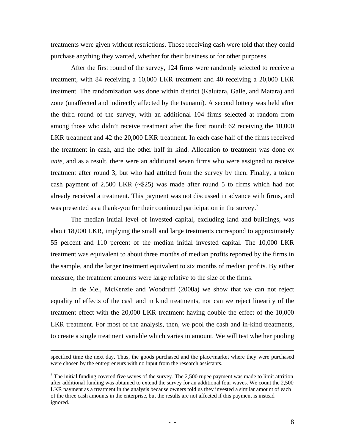treatments were given without restrictions. Those receiving cash were told that they could purchase anything they wanted, whether for their business or for other purposes.

After the first round of the survey, 124 firms were randomly selected to receive a treatment, with 84 receiving a 10,000 LKR treatment and 40 receiving a 20,000 LKR treatment. The randomization was done within district (Kalutara, Galle, and Matara) and zone (unaffected and indirectly affected by the tsunami). A second lottery was held after the third round of the survey, with an additional 104 firms selected at random from among those who didn't receive treatment after the first round: 62 receiving the 10,000 LKR treatment and 42 the 20,000 LKR treatment. In each case half of the firms received the treatment in cash, and the other half in kind. Allocation to treatment was done *ex ante*, and as a result, there were an additional seven firms who were assigned to receive treatment after round 3, but who had attrited from the survey by then. Finally, a token cash payment of 2,500 LKR (~\$25) was made after round 5 to firms which had not already received a treatment. This payment was not discussed in advance with firms, and was presented as a thank-you for their continued participation in the survey.<sup>[7](#page-9-0)</sup>

The median initial level of invested capital, excluding land and buildings, was about 18,000 LKR, implying the small and large treatments correspond to approximately 55 percent and 110 percent of the median initial invested capital. The 10,000 LKR treatment was equivalent to about three months of median profits reported by the firms in the sample, and the larger treatment equivalent to six months of median profits. By either measure, the treatment amounts were large relative to the size of the firms.

 In de Mel, McKenzie and Woodruff (2008a) we show that we can not reject equality of effects of the cash and in kind treatments, nor can we reject linearity of the treatment effect with the 20,000 LKR treatment having double the effect of the 10,000 LKR treatment. For most of the analysis, then, we pool the cash and in-kind treatments, to create a single treatment variable which varies in amount. We will test whether pooling

specified time the next day. Thus, the goods purchased and the place/market where they were purchased were chosen by the entrepreneurs with no input from the research assistants.

<span id="page-9-0"></span><sup>&</sup>lt;sup>7</sup> The initial funding covered five waves of the survey. The 2,500 rupee payment was made to limit attrition after additional funding was obtained to extend the survey for an additional four waves. We count the 2,500 LKR payment as a treatment in the analysis because owners told us they invested a similar amount of each of the three cash amounts in the enterprise, but the results are not affected if this payment is instead ignored.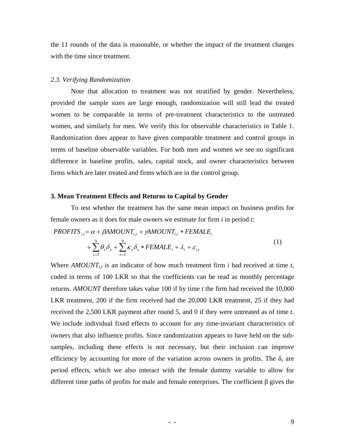the 11 rounds of the data is reasonable, or whether the impact of the treatment changes with the time since treatment.

#### *2.3. Verifying Randomization*

Note that allocation to treatment was not stratified by gender. Nevertheless, provided the sample sizes are large enough, randomization will still lead the treated women to be comparable in terms of pre-treatment characteristics to the untreated women, and similarly for men. We verify this for observable characteristics in Table 1. Randomization does appear to have given comparable treatment and control groups in terms of baseline observable variables. For both men and women we see no significant difference in baseline profits, sales, capital stock, and owner characteristics between firms which are later treated and firms which are in the control group.

#### **3. Mean Treatment Effects and Returns to Capital by Gender**

To test whether the treatment has the same mean impact on business profits for female owners as it does for male owners we estimate for firm *i* in period *t:* 

$$
PROFITS_{i,t} = \alpha + \beta AMOUNT_{i,t} + \gamma AMOUNT_{i,t} * FEMALE_i
$$
  
+ 
$$
\sum_{s=2}^{9} \theta_s \delta_s + \sum_{s=2}^{9} \kappa_s \delta_s * FEMALE_i + \lambda_i + \varepsilon_{i,t}
$$
 (1)

Where  $AMOUNT_{i,t}$  is an indicator of how much treatment firm *i* had received at time *t*, coded in terms of 100 LKR so that the coefficients can be read as monthly percentage returns. *AMOUNT* therefore takes value 100 if by time *t* the firm had received the 10,000 LKR treatment, 200 if the firm received had the 20,000 LKR treatment, 25 if they had received the 2,500 LKR payment after round 5, and 0 if they were untreated as of time *t*. We include individual fixed effects to account for any time-invariant characteristics of owners that also influence profits. Since randomization appears to have held on the subsamples, including these effects is not necessary, but their inclusion can improve efficiency by accounting for more of the variation across owners in profits. The  $\delta_s$  are period effects, which we also interact with the female dummy variable to allow for different time paths of profits for male and female enterprises. The coefficient β gives the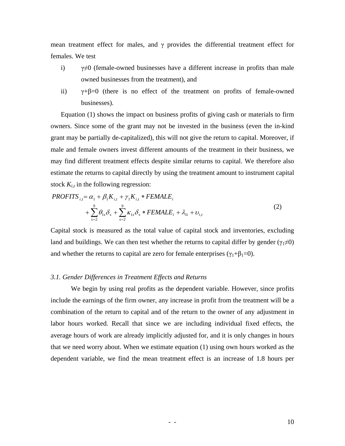mean treatment effect for males, and  $\gamma$  provides the differential treatment effect for females. We test

- i)  $\gamma \neq 0$  (female-owned businesses have a different increase in profits than male owned businesses from the treatment), and
- ii)  $\gamma + \beta = 0$  (there is no effect of the treatment on profits of female-owned businesses).

Equation (1) shows the impact on business profits of giving cash or materials to firm owners. Since some of the grant may not be invested in the business (even the in-kind grant may be partially de-capitalized), this will not give the return to capital. Moreover, if male and female owners invest different amounts of the treatment in their business, we may find different treatment effects despite similar returns to capital. We therefore also estimate the returns to capital directly by using the treatment amount to instrument capital stock  $K_{i,t}$  in the following regression:

$$
PROFITS_{i,t} = \alpha_1 + \beta_1 K_{i,t} + \gamma_1 K_{i,t} * FEMALE_i
$$
  
+ 
$$
\sum_{s=2}^{9} \theta_{1s} \delta_s + \sum_{s=2}^{9} \kappa_{1s} \delta_s * FEMALE_i + \lambda_{1i} + \nu_{i,t}
$$
 (2)

Capital stock is measured as the total value of capital stock and inventories, excluding land and buildings. We can then test whether the returns to capital differ by gender ( $\gamma_1 \neq 0$ ) and whether the returns to capital are zero for female enterprises ( $\gamma_1+\beta_1=0$ ).

#### *3.1. Gender Differences in Treatment Effects and Returns*

We begin by using real profits as the dependent variable. However, since profits include the earnings of the firm owner, any increase in profit from the treatment will be a combination of the return to capital and of the return to the owner of any adjustment in labor hours worked. Recall that since we are including individual fixed effects, the average hours of work are already implicitly adjusted for, and it is only changes in hours that we need worry about. When we estimate equation (1) using own hours worked as the dependent variable, we find the mean treatment effect is an increase of 1.8 hours per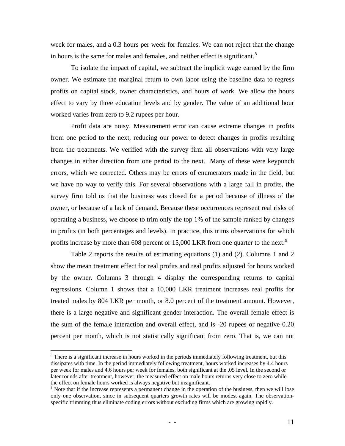week for males, and a 0.3 hours per week for females. We can not reject that the change in hours is the same for males and females, and neither effect is significant.<sup>[8](#page-12-0)</sup>

To isolate the impact of capital, we subtract the implicit wage earned by the firm owner. We estimate the marginal return to own labor using the baseline data to regress profits on capital stock, owner characteristics, and hours of work. We allow the hours effect to vary by three education levels and by gender. The value of an additional hour worked varies from zero to 9.2 rupees per hour.

 Profit data are noisy. Measurement error can cause extreme changes in profits from one period to the next, reducing our power to detect changes in profits resulting from the treatments. We verified with the survey firm all observations with very large changes in either direction from one period to the next. Many of these were keypunch errors, which we corrected. Others may be errors of enumerators made in the field, but we have no way to verify this. For several observations with a large fall in profits, the survey firm told us that the business was closed for a period because of illness of the owner, or because of a lack of demand. Because these occurrences represent real risks of operating a business, we choose to trim only the top 1% of the sample ranked by changes in profits (in both percentages and levels). In practice, this trims observations for which profits increase by more than 608 percent or  $15,000$  LKR from one quarter to the next.<sup>[9](#page-12-1)</sup>

Table 2 reports the results of estimating equations (1) and (2). Columns 1 and 2 show the mean treatment effect for real profits and real profits adjusted for hours worked by the owner. Columns 3 through 4 display the corresponding returns to capital regressions. Column 1 shows that a 10,000 LKR treatment increases real profits for treated males by 804 LKR per month, or 8.0 percent of the treatment amount. However, there is a large negative and significant gender interaction. The overall female effect is the sum of the female interaction and overall effect, and is -20 rupees or negative 0.20 percent per month, which is not statistically significant from zero. That is, we can not

1

<span id="page-12-0"></span><sup>&</sup>lt;sup>8</sup> There is a significant increase in hours worked in the periods immediately following treatment, but this dissipates with time. In the period immediately following treatment, hours worked increases by 4.4 hours per week for males and 4.6 hours per week for females, both significant at the .05 level. In the second or later rounds after treatment, however, the measured effect on male hours returns very close to zero while the effect on female hours worked is always negative but insignificant.

<span id="page-12-1"></span><sup>&</sup>lt;sup>9</sup> Note that if the increase represents a permanent change in the operation of the business, then we will lose only one observation, since in subsequent quarters growth rates will be modest again. The observationspecific trimming thus eliminate coding errors without excluding firms which are growing rapidly.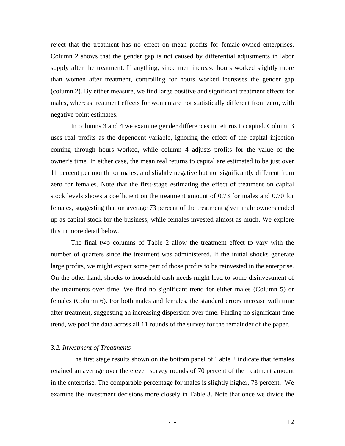reject that the treatment has no effect on mean profits for female-owned enterprises. Column 2 shows that the gender gap is not caused by differential adjustments in labor supply after the treatment. If anything, since men increase hours worked slightly more than women after treatment, controlling for hours worked increases the gender gap (column 2). By either measure, we find large positive and significant treatment effects for males, whereas treatment effects for women are not statistically different from zero, with negative point estimates.

In columns 3 and 4 we examine gender differences in returns to capital. Column 3 uses real profits as the dependent variable, ignoring the effect of the capital injection coming through hours worked, while column 4 adjusts profits for the value of the owner's time. In either case, the mean real returns to capital are estimated to be just over 11 percent per month for males, and slightly negative but not significantly different from zero for females. Note that the first-stage estimating the effect of treatment on capital stock levels shows a coefficient on the treatment amount of 0.73 for males and 0.70 for females, suggesting that on average 73 percent of the treatment given male owners ended up as capital stock for the business, while females invested almost as much. We explore this in more detail below.

The final two columns of Table 2 allow the treatment effect to vary with the number of quarters since the treatment was administered. If the initial shocks generate large profits, we might expect some part of those profits to be reinvested in the enterprise. On the other hand, shocks to household cash needs might lead to some disinvestment of the treatments over time. We find no significant trend for either males (Column 5) or females (Column 6). For both males and females, the standard errors increase with time after treatment, suggesting an increasing dispersion over time. Finding no significant time trend, we pool the data across all 11 rounds of the survey for the remainder of the paper.

#### *3.2. Investment of Treatments*

 The first stage results shown on the bottom panel of Table 2 indicate that females retained an average over the eleven survey rounds of 70 percent of the treatment amount in the enterprise. The comparable percentage for males is slightly higher, 73 percent. We examine the investment decisions more closely in Table 3. Note that once we divide the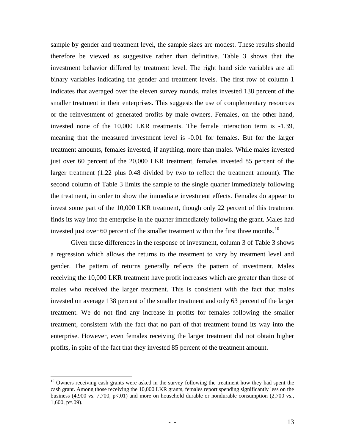sample by gender and treatment level, the sample sizes are modest. These results should therefore be viewed as suggestive rather than definitive. Table 3 shows that the investment behavior differed by treatment level. The right hand side variables are all binary variables indicating the gender and treatment levels. The first row of column 1 indicates that averaged over the eleven survey rounds, males invested 138 percent of the smaller treatment in their enterprises. This suggests the use of complementary resources or the reinvestment of generated profits by male owners. Females, on the other hand, invested none of the 10,000 LKR treatments. The female interaction term is -1.39, meaning that the measured investment level is -0.01 for females. But for the larger treatment amounts, females invested, if anything, more than males. While males invested just over 60 percent of the 20,000 LKR treatment, females invested 85 percent of the larger treatment (1.22 plus 0.48 divided by two to reflect the treatment amount). The second column of Table 3 limits the sample to the single quarter immediately following the treatment, in order to show the immediate investment effects. Females do appear to invest some part of the 10,000 LKR treatment, though only 22 percent of this treatment finds its way into the enterprise in the quarter immediately following the grant. Males had invested just over 60 percent of the smaller treatment within the first three months. $^{10}$  $^{10}$  $^{10}$ 

 Given these differences in the response of investment, column 3 of Table 3 shows a regression which allows the returns to the treatment to vary by treatment level and gender. The pattern of returns generally reflects the pattern of investment. Males receiving the 10,000 LKR treatment have profit increases which are greater than those of males who received the larger treatment. This is consistent with the fact that males invested on average 138 percent of the smaller treatment and only 63 percent of the larger treatment. We do not find any increase in profits for females following the smaller treatment, consistent with the fact that no part of that treatment found its way into the enterprise. However, even females receiving the larger treatment did not obtain higher profits, in spite of the fact that they invested 85 percent of the treatment amount.

<u>.</u>

<span id="page-14-0"></span><sup>&</sup>lt;sup>10</sup> Owners receiving cash grants were asked in the survey following the treatment how they had spent the cash grant. Among those receiving the 10,000 LKR grants, females report spending significantly less on the business (4,900 vs. 7,700, p<.01) and more on household durable or nondurable consumption (2,700 vs., 1,600, p=.09).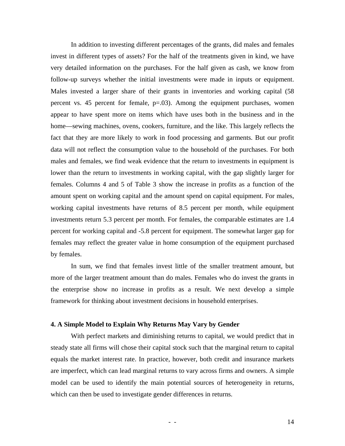In addition to investing different percentages of the grants, did males and females invest in different types of assets? For the half of the treatments given in kind, we have very detailed information on the purchases. For the half given as cash, we know from follow-up surveys whether the initial investments were made in inputs or equipment. Males invested a larger share of their grants in inventories and working capital (58 percent vs. 45 percent for female,  $p=.03$ ). Among the equipment purchases, women appear to have spent more on items which have uses both in the business and in the home—sewing machines, ovens, cookers, furniture, and the like. This largely reflects the fact that they are more likely to work in food processing and garments. But our profit data will not reflect the consumption value to the household of the purchases. For both males and females, we find weak evidence that the return to investments in equipment is lower than the return to investments in working capital, with the gap slightly larger for females. Columns 4 and 5 of Table 3 show the increase in profits as a function of the amount spent on working capital and the amount spend on capital equipment. For males, working capital investments have returns of 8.5 percent per month, while equipment investments return 5.3 percent per month. For females, the comparable estimates are 1.4 percent for working capital and -5.8 percent for equipment. The somewhat larger gap for females may reflect the greater value in home consumption of the equipment purchased by females.

 In sum, we find that females invest little of the smaller treatment amount, but more of the larger treatment amount than do males. Females who do invest the grants in the enterprise show no increase in profits as a result. We next develop a simple framework for thinking about investment decisions in household enterprises.

#### **4. A Simple Model to Explain Why Returns May Vary by Gender**

With perfect markets and diminishing returns to capital, we would predict that in steady state all firms will chose their capital stock such that the marginal return to capital equals the market interest rate. In practice, however, both credit and insurance markets are imperfect, which can lead marginal returns to vary across firms and owners. A simple model can be used to identify the main potential sources of heterogeneity in returns, which can then be used to investigate gender differences in returns.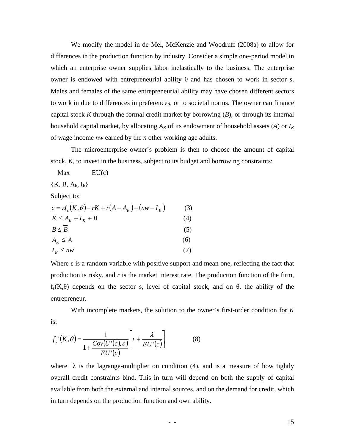We modify the model in de Mel, McKenzie and Woodruff (2008a) to allow for differences in the production function by industry. Consider a simple one-period model in which an enterprise owner supplies labor inelastically to the business. The enterprise owner is endowed with entrepreneurial ability θ and has chosen to work in sector *s*. Males and females of the same entrepreneurial ability may have chosen different sectors to work in due to differences in preferences, or to societal norms. The owner can finance capital stock *K* through the formal credit market by borrowing (*B*), or through its internal household capital market, by allocating  $A_K$  of its endowment of household assets (*A*) or  $I_K$ of wage income *nw* earned by the *n* other working age adults.

The microenterprise owner's problem is then to choose the amount of capital stock, *K*, to invest in the business, subject to its budget and borrowing constraints:

| Max                        | EU(c)                                                               |       |
|----------------------------|---------------------------------------------------------------------|-------|
| ${K, B, A_k, I_k}$         |                                                                     |       |
| Subject to:                |                                                                     |       |
|                            | $c = \varepsilon f_r(K, \theta) - rK + r(A - A_{K}) + (nw - I_{K})$ | (3)   |
| $K \leq A_{K} + I_{K} + B$ |                                                                     | (4)   |
| $B \leq B$                 |                                                                     | (5)   |
| $A_{\kappa} \leq A$        |                                                                     | (6)   |
| $I_K \leq n w$             |                                                                     | ( / ) |

Where ε is a random variable with positive support and mean one, reflecting the fact that production is risky, and *r* is the market interest rate. The production function of the firm,  $f_s(K,\theta)$  depends on the sector s, level of capital stock, and on  $\theta$ , the ability of the entrepreneur.

With incomplete markets, the solution to the owner's first-order condition for *K* is:

$$
f_s'(K,\theta) = \frac{1}{1 + \frac{Cov(U'(c), \varepsilon)}{EU'(c)}} \left[ r + \frac{\lambda}{EU'(c)} \right]
$$
(8)

where  $\lambda$  is the lagrange-multiplier on condition (4), and is a measure of how tightly overall credit constraints bind. This in turn will depend on both the supply of capital available from both the external and internal sources, and on the demand for credit, which in turn depends on the production function and own ability.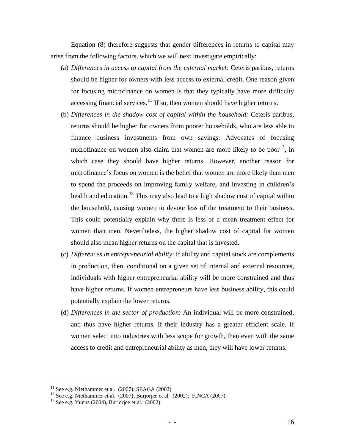Equation (8) therefore suggests that gender differences in returns to capital may arise from the following factors, which we will next investigate empirically:

- (a) *Differences in access to capital from the external market:* Ceteris paribus, returns should be higher for owners with less access to external credit. One reason given for focusing microfinance on women is that they typically have more difficulty accessing financial services. $11$  If so, then women should have higher returns.
- (b) *Differences in the shadow cost of capital within the household:* Ceteris paribus, returns should be higher for owners from poorer households, who are less able to finance business investments from own savings. Advocates of focusing microfinance on women also claim that women are more likely to be poor<sup>[12](#page-17-1)</sup>, in which case they should have higher returns. However, another reason for microfinance's focus on women is the belief that women are more likely than men to spend the proceeds on improving family welfare, and investing in children's health and education.<sup>[13](#page-17-2)</sup> This may also lead to a high shadow cost of capital within the household, causing women to devote less of the treatment to their business. This could potentially explain why there is less of a mean treatment effect for women than men. Nevertheless, the higher shadow cost of capital for women should also mean higher returns on the capital that is invested.
- (c) *Differences in entrepreneurial ability*: If ability and capital stock are complements in production, then, conditional on a given set of internal and external resources, individuals with higher entrepreneurial ability will be more constrained and thus have higher returns. If women entrepreneurs have less business ability, this could potentially explain the lower returns.
- (d) *Differences in the sector of production*: An individual will be more constrained, and thus have higher returns, if their industry has a greater efficient scale. If women select into industries with less scope for growth, then even with the same access to credit and entrepreneurial ability as men, they will have lower returns.

1

<span id="page-17-1"></span><span id="page-17-0"></span><sup>&</sup>lt;sup>11</sup> See e.g. Niethammer et al. (2007); SEAGA (2002)<br><sup>12</sup> See e.g. Niethammer et al. (2007); Burjorjee et al. (2002); FINCA (2007).<br><sup>13</sup> See e.g. Yunus (2004), Burjorjee et al. (2002).

<span id="page-17-2"></span>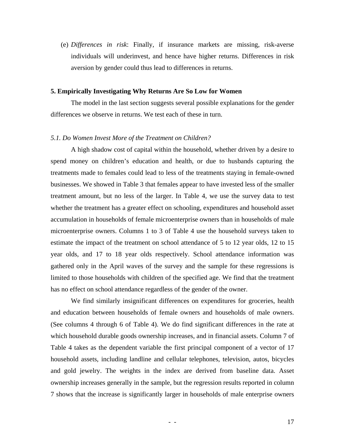(e) *Differences in risk*: Finally, if insurance markets are missing, risk-averse individuals will underinvest, and hence have higher returns. Differences in risk aversion by gender could thus lead to differences in returns.

#### **5. Empirically Investigating Why Returns Are So Low for Women**

The model in the last section suggests several possible explanations for the gender differences we observe in returns. We test each of these in turn.

#### *5.1. Do Women Invest More of the Treatment on Children?*

A high shadow cost of capital within the household, whether driven by a desire to spend money on children's education and health, or due to husbands capturing the treatments made to females could lead to less of the treatments staying in female-owned businesses. We showed in Table 3 that females appear to have invested less of the smaller treatment amount, but no less of the larger. In Table 4, we use the survey data to test whether the treatment has a greater effect on schooling, expenditures and household asset accumulation in households of female microenterprise owners than in households of male microenterprise owners. Columns 1 to 3 of Table 4 use the household surveys taken to estimate the impact of the treatment on school attendance of 5 to 12 year olds, 12 to 15 year olds, and 17 to 18 year olds respectively. School attendance information was gathered only in the April waves of the survey and the sample for these regressions is limited to those households with children of the specified age. We find that the treatment has no effect on school attendance regardless of the gender of the owner.

 We find similarly insignificant differences on expenditures for groceries, health and education between households of female owners and households of male owners. (See columns 4 through 6 of Table 4). We do find significant differences in the rate at which household durable goods ownership increases, and in financial assets. Column 7 of Table 4 takes as the dependent variable the first principal component of a vector of 17 household assets, including landline and cellular telephones, television, autos, bicycles and gold jewelry. The weights in the index are derived from baseline data. Asset ownership increases generally in the sample, but the regression results reported in column 7 shows that the increase is significantly larger in households of male enterprise owners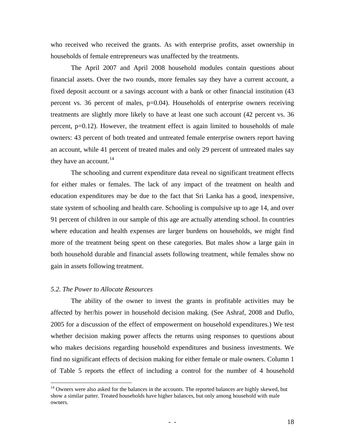who received who received the grants. As with enterprise profits, asset ownership in households of female entrepreneurs was unaffected by the treatments.

 The April 2007 and April 2008 household modules contain questions about financial assets. Over the two rounds, more females say they have a current account, a fixed deposit account or a savings account with a bank or other financial institution (43 percent vs. 36 percent of males, p=0.04). Households of enterprise owners receiving treatments are slightly more likely to have at least one such account (42 percent vs. 36 percent, p=0.12). However, the treatment effect is again limited to households of male owners: 43 percent of both treated and untreated female enterprise owners report having an account, while 41 percent of treated males and only 29 percent of untreated males say they have an account. $^{14}$  $^{14}$  $^{14}$ 

 The schooling and current expenditure data reveal no significant treatment effects for either males or females. The lack of any impact of the treatment on health and education expenditures may be due to the fact that Sri Lanka has a good, inexpensive, state system of schooling and health care. Schooling is compulsive up to age 14, and over 91 percent of children in our sample of this age are actually attending school. In countries where education and health expenses are larger burdens on households, we might find more of the treatment being spent on these categories. But males show a large gain in both household durable and financial assets following treatment, while females show no gain in assets following treatment.

## *5.2. The Power to Allocate Resources*

1

 The ability of the owner to invest the grants in profitable activities may be affected by her/his power in household decision making. (See Ashraf, 2008 and Duflo, 2005 for a discussion of the effect of empowerment on household expenditures.) We test whether decision making power affects the returns using responses to questions about who makes decisions regarding household expenditures and business investments. We find no significant effects of decision making for either female or male owners. Column 1 of Table 5 reports the effect of including a control for the number of 4 household

<span id="page-19-0"></span><sup>&</sup>lt;sup>14</sup> Owners were also asked for the balances in the accounts. The reported balances are highly skewed, but show a similar patter. Treated households have higher balances, but only among household with male owners.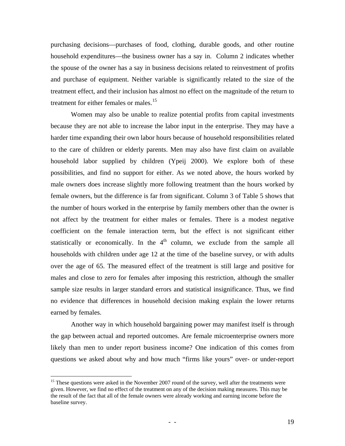purchasing decisions—purchases of food, clothing, durable goods, and other routine household expenditures—the business owner has a say in. Column 2 indicates whether the spouse of the owner has a say in business decisions related to reinvestment of profits and purchase of equipment. Neither variable is significantly related to the size of the treatment effect, and their inclusion has almost no effect on the magnitude of the return to treatment for either females or males.<sup>[15](#page-20-0)</sup>

 Women may also be unable to realize potential profits from capital investments because they are not able to increase the labor input in the enterprise. They may have a harder time expanding their own labor hours because of household responsibilities related to the care of children or elderly parents. Men may also have first claim on available household labor supplied by children (Ypeij 2000). We explore both of these possibilities, and find no support for either. As we noted above, the hours worked by male owners does increase slightly more following treatment than the hours worked by female owners, but the difference is far from significant. Column 3 of Table 5 shows that the number of hours worked in the enterprise by family members other than the owner is not affect by the treatment for either males or females. There is a modest negative coefficient on the female interaction term, but the effect is not significant either statistically or economically. In the  $4<sup>th</sup>$  column, we exclude from the sample all households with children under age 12 at the time of the baseline survey, or with adults over the age of 65. The measured effect of the treatment is still large and positive for males and close to zero for females after imposing this restriction, although the smaller sample size results in larger standard errors and statistical insignificance. Thus, we find no evidence that differences in household decision making explain the lower returns earned by females.

Another way in which household bargaining power may manifest itself is through the gap between actual and reported outcomes. Are female microenterprise owners more likely than men to under report business income? One indication of this comes from questions we asked about why and how much "firms like yours" over- or under-report

 $\overline{a}$ 

<span id="page-20-0"></span><sup>&</sup>lt;sup>15</sup> These questions were asked in the November 2007 round of the survey, well after the treatments were given. However, we find no effect of the treatment on any of the decision making measures. This may be the result of the fact that all of the female owners were already working and earning income before the baseline survey.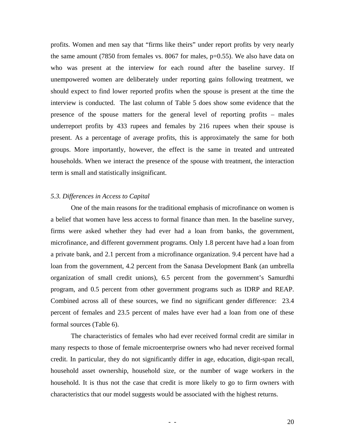profits. Women and men say that "firms like theirs" under report profits by very nearly the same amount (7850 from females vs. 8067 for males,  $p=0.55$ ). We also have data on who was present at the interview for each round after the baseline survey. If unempowered women are deliberately under reporting gains following treatment, we should expect to find lower reported profits when the spouse is present at the time the interview is conducted. The last column of Table 5 does show some evidence that the presence of the spouse matters for the general level of reporting profits – males underreport profits by 433 rupees and females by 216 rupees when their spouse is present. As a percentage of average profits, this is approximately the same for both groups. More importantly, however, the effect is the same in treated and untreated households. When we interact the presence of the spouse with treatment, the interaction term is small and statistically insignificant.

#### *5.3. Differences in Access to Capital*

One of the main reasons for the traditional emphasis of microfinance on women is a belief that women have less access to formal finance than men. In the baseline survey, firms were asked whether they had ever had a loan from banks, the government, microfinance, and different government programs. Only 1.8 percent have had a loan from a private bank, and 2.1 percent from a microfinance organization. 9.4 percent have had a loan from the government, 4.2 percent from the Sanasa Development Bank (an umbrella organization of small credit unions), 6.5 percent from the government's Samurdhi program, and 0.5 percent from other government programs such as IDRP and REAP. Combined across all of these sources, we find no significant gender difference: 23.4 percent of females and 23.5 percent of males have ever had a loan from one of these formal sources (Table 6).

The characteristics of females who had ever received formal credit are similar in many respects to those of female microenterprise owners who had never received formal credit. In particular, they do not significantly differ in age, education, digit-span recall, household asset ownership, household size, or the number of wage workers in the household. It is thus not the case that credit is more likely to go to firm owners with characteristics that our model suggests would be associated with the highest returns.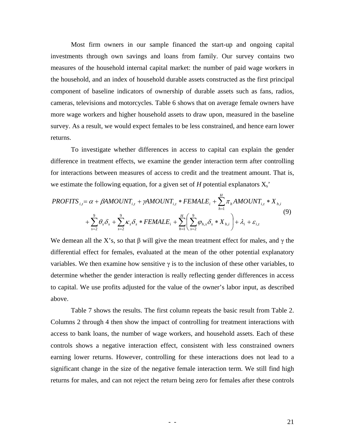Most firm owners in our sample financed the start-up and ongoing capital investments through own savings and loans from family. Our survey contains two measures of the household internal capital market: the number of paid wage workers in the household, and an index of household durable assets constructed as the first principal component of baseline indicators of ownership of durable assets such as fans, radios, cameras, televisions and motorcycles. Table 6 shows that on average female owners have more wage workers and higher household assets to draw upon, measured in the baseline survey. As a result, we would expect females to be less constrained, and hence earn lower returns.

 To investigate whether differences in access to capital can explain the gender difference in treatment effects, we examine the gender interaction term after controlling for interactions between measures of access to credit and the treatment amount. That is, we estimate the following equation, for a given set of  $H$  potential explanators  $X_s$ <sup>\*</sup>

$$
PROFITS_{i,t} = \alpha + \beta AMOUNT_{i,t} + \gamma AMOUNT_{i,t} * FEMALE_i + \sum_{h=1}^{H} \pi_h AMOUNT_{i,t} * X_{h,i}
$$
  
+ 
$$
\sum_{s=2}^{9} \theta_s \delta_s + \sum_{s=2}^{9} \kappa_s \delta_s * FEMALE_i + \sum_{h=1}^{H} \left( \sum_{s=2}^{9} \varphi_{h,s} \delta_s * X_{h,i} \right) + \lambda_i + \varepsilon_{i,t}
$$
 (9)

We demean all the X's, so that  $\beta$  will give the mean treatment effect for males, and  $\gamma$  the differential effect for females, evaluated at the mean of the other potential explanatory variables. We then examine how sensitive  $\gamma$  is to the inclusion of these other variables, to determine whether the gender interaction is really reflecting gender differences in access to capital. We use profits adjusted for the value of the owner's labor input, as described above.

Table 7 shows the results. The first column repeats the basic result from Table 2. Columns 2 through 4 then show the impact of controlling for treatment interactions with access to bank loans, the number of wage workers, and household assets. Each of these controls shows a negative interaction effect, consistent with less constrained owners earning lower returns. However, controlling for these interactions does not lead to a significant change in the size of the negative female interaction term. We still find high returns for males, and can not reject the return being zero for females after these controls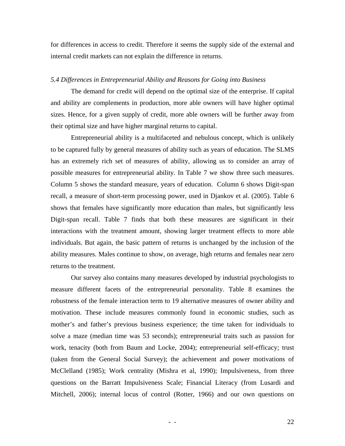for differences in access to credit. Therefore it seems the supply side of the external and internal credit markets can not explain the difference in returns.

#### *5.4 Differences in Entrepreneurial Ability and Reasons for Going into Business*

 The demand for credit will depend on the optimal size of the enterprise. If capital and ability are complements in production, more able owners will have higher optimal sizes. Hence, for a given supply of credit, more able owners will be further away from their optimal size and have higher marginal returns to capital.

Entrepreneurial ability is a multifaceted and nebulous concept, which is unlikely to be captured fully by general measures of ability such as years of education. The SLMS has an extremely rich set of measures of ability, allowing us to consider an array of possible measures for entrepreneurial ability. In Table 7 we show three such measures. Column 5 shows the standard measure, years of education. Column 6 shows Digit-span recall, a measure of short-term processing power, used in Djankov et al. (2005). Table 6 shows that females have significantly more education than males, but significantly less Digit-span recall. Table 7 finds that both these measures are significant in their interactions with the treatment amount, showing larger treatment effects to more able individuals. But again, the basic pattern of returns is unchanged by the inclusion of the ability measures. Males continue to show, on average, high returns and females near zero returns to the treatment.

Our survey also contains many measures developed by industrial psychologists to measure different facets of the entrepreneurial personality. Table 8 examines the robustness of the female interaction term to 19 alternative measures of owner ability and motivation. These include measures commonly found in economic studies, such as mother's and father's previous business experience; the time taken for individuals to solve a maze (median time was 53 seconds); entrepreneurial traits such as passion for work, tenacity (both from Baum and Locke, 2004); entrepreneurial self-efficacy; trust (taken from the General Social Survey); the achievement and power motivations of McClelland (1985); Work centrality (Mishra et al, 1990); Impulsiveness, from three questions on the Barratt Impulsiveness Scale; Financial Literacy (from Lusardi and Mitchell, 2006); internal locus of control (Rotter, 1966) and our own questions on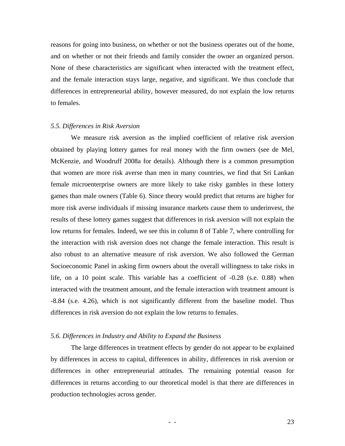reasons for going into business, on whether or not the business operates out of the home, and on whether or not their friends and family consider the owner an organized person. None of these characteristics are significant when interacted with the treatment effect, and the female interaction stays large, negative, and significant. We thus conclude that differences in entrepreneurial ability, however measured, do not explain the low returns to females.

#### *5.5. Differences in Risk Aversion*

We measure risk aversion as the implied coefficient of relative risk aversion obtained by playing lottery games for real money with the firm owners (see de Mel, McKenzie, and Woodruff 2008a for details). Although there is a common presumption that women are more risk averse than men in many countries, we find that Sri Lankan female microenterprise owners are more likely to take risky gambles in these lottery games than male owners (Table 6). Since theory would predict that returns are higher for more risk averse individuals if missing insurance markets cause them to underinvest, the results of these lottery games suggest that differences in risk aversion will not explain the low returns for females. Indeed, we see this in column 8 of Table 7, where controlling for the interaction with risk aversion does not change the female interaction. This result is also robust to an alternative measure of risk aversion. We also followed the German Socioeconomic Panel in asking firm owners about the overall willingness to take risks in life, on a 10 point scale. This variable has a coefficient of -0.28 (s.e. 0.88) when interacted with the treatment amount, and the female interaction with treatment amount is -8.84 (s.e. 4.26), which is not significantly different from the baseline model. Thus differences in risk aversion do not explain the low returns to females.

#### *5.6. Differences in Industry and Ability to Expand the Business*

The large differences in treatment effects by gender do not appear to be explained by differences in access to capital, differences in ability, differences in risk aversion or differences in other entrepreneurial attitudes. The remaining potential reason for differences in returns according to our theoretical model is that there are differences in production technologies across gender.

 $-$  - 23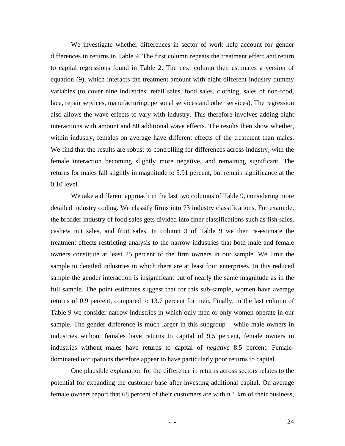We investigate whether differences in sector of work help account for gender differences in returns in Table 9. The first column repeats the treatment effect and return to capital regressions found in Table 2. The next column then estimates a version of equation (9), which interacts the treatment amount with eight different industry dummy variables (to cover nine industries: retail sales, food sales, clothing, sales of non-food, lace, repair services, manufacturing, personal services and other services). The regression also allows the wave effects to vary with industry. This therefore involves adding eight interactions with amount and 80 additional wave effects. The results then show whether, within industry, females on average have different effects of the treatment than males. We find that the results are robust to controlling for differences across industry, with the female interaction becoming slightly more negative, and remaining significant. The returns for males fall slightly in magnitude to 5.91 percent, but remain significance at the 0.10 level.

 We take a different approach in the last two columns of Table 9, considering more detailed industry coding. We classify firms into 73 industry classifications. For example, the broader industry of food sales gets divided into finer classifications such as fish sales, cashew nut sales, and fruit sales. In column 3 of Table 9 we then re-estimate the treatment effects restricting analysis to the narrow industries that both male and female owners constitute at least 25 percent of the firm owners in our sample. We limit the sample to detailed industries in which there are at least four enterprises. In this reduced sample the gender interaction is insignificant but of nearly the same magnitude as in the full sample. The point estimates suggest that for this sub-sample, women have average returns of 0.9 percent, compared to 13.7 percent for men. Finally, in the last column of Table 9 we consider narrow industries in which only men or only women operate in our sample. The gender difference is much larger in this subgroup – while male owners in industries without females have returns to capital of 9.5 percent, female owners in industries without males have returns to capital of *negative* 8.5 percent. Femaledominated occupations therefore appear to have particularly poor returns to capital.

 One plausible explanation for the difference in returns across sectors relates to the potential for expanding the customer base after investing additional capital. On average female owners report that 68 percent of their customers are within 1 km of their business,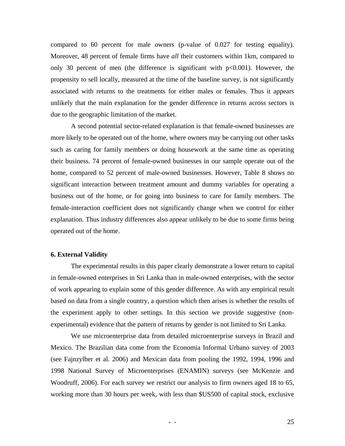compared to 60 percent for male owners (p-value of 0.027 for testing equality). Moreover, 48 percent of female firms have *all* their customers within 1km, compared to only 30 percent of men (the difference is significant with  $p<0.001$ ). However, the propensity to sell locally, measured at the time of the baseline survey, is not significantly associated with returns to the treatments for either males or females. Thus it appears unlikely that the main explanation for the gender difference in returns across sectors is due to the geographic limitation of the market.

 A second potential sector-related explanation is that female-owned businesses are more likely to be operated out of the home, where owners may be carrying out other tasks such as caring for family members or doing housework at the same time as operating their business. 74 percent of female-owned businesses in our sample operate out of the home, compared to 52 percent of male-owned businesses. However, Table 8 shows no significant interaction between treatment amount and dummy variables for operating a business out of the home, or for going into business to care for family members. The female-interaction coefficient does not significantly change when we control for either explanation. Thus industry differences also appear unlikely to be due to some firms being operated out of the home.

#### **6. External Validity**

The experimental results in this paper clearly demonstrate a lower return to capital in female-owned enterprises in Sri Lanka than in male-owned enterprises, with the sector of work appearing to explain some of this gender difference. As with any empirical result based on data from a single country, a question which then arises is whether the results of the experiment apply to other settings. In this section we provide suggestive (nonexperimental) evidence that the pattern of returns by gender is not limited to Sri Lanka.

 We use microenterprise data from detailed microenterprise surveys in Brazil and Mexico. The Brazilian data come from the Economia Informal Urbano survey of 2003 (see Fajnzylber et al. 2006) and Mexican data from pooling the 1992, 1994, 1996 and 1998 National Survey of Microenterprises (ENAMIN) surveys (see McKenzie and Woodruff, 2006). For each survey we restrict our analysis to firm owners aged 18 to 65, working more than 30 hours per week, with less than \$US500 of capital stock, exclusive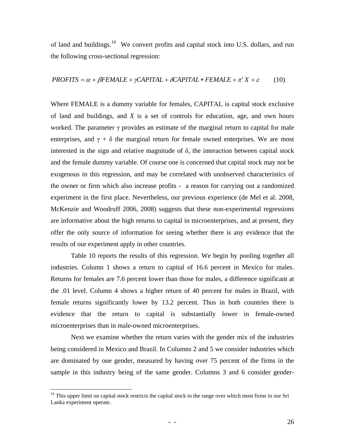of land and buildings.<sup>[16](#page-27-0)</sup> We convert profits and capital stock into U.S. dollars, and run the following cross-sectional regression:

#### $PROFITS = \alpha + \beta FEMALE + \gamma CAPITAL + \delta CAPITAL * FEMALE + \pi' X + \varepsilon$  (10)

Where FEMALE is a dummy variable for females, CAPITAL is capital stock exclusive of land and buildings, and *X* is a set of controls for education, age, and own hours worked. The parameter  $\gamma$  provides an estimate of the marginal return to capital for male enterprises, and  $\gamma + \delta$  the marginal return for female owned enterprises. We are most interested in the sign and relative magnitude of  $\delta$ , the interaction between capital stock and the female dummy variable. Of course one is concerned that capital stock may not be exogenous in this regression, and may be correlated with unobserved characteristics of the owner or firm which also increase profits - a reason for carrying out a randomized experiment in the first place. Nevertheless, our previous experience (de Mel et al. 2008, McKenzie and Woodruff 2006, 2008) suggests that these non-experimental regressions are informative about the high returns to capital in microenterprises, and at present, they offer the only source of information for seeing whether there is any evidence that the results of our experiment apply in other countries.

 Table 10 reports the results of this regression. We begin by pooling together all industries. Column 1 shows a return to capital of 16.6 percent in Mexico for males. Returns for females are 7.6 percent lower than those for males, a difference significant at the .01 level. Column 4 shows a higher return of 40 percent for males in Brazil, with female returns significantly lower by 13.2 percent. Thus in both countries there is evidence that the return to capital is substantially lower in female-owned microenterprises than in male-owned microenterprises.

Next we examine whether the return varies with the gender mix of the industries being considered in Mexico and Brazil. In Columns 2 and 5 we consider industries which are dominated by one gender, measured by having over 75 percent of the firms in the sample in this industry being of the same gender. Columns 3 and 6 consider gender-

 $\overline{a}$ 

<span id="page-27-0"></span><sup>&</sup>lt;sup>16</sup> This upper limit on capital stock restricts the capital stock to the range over which most firms in our Sri Lanka experiment operate.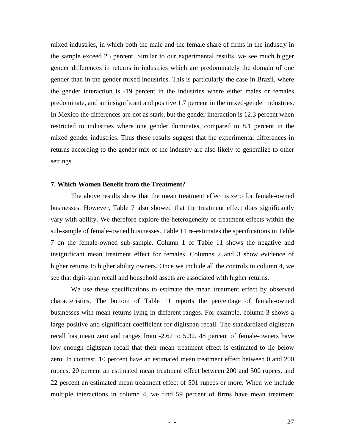mixed industries, in which both the male and the female share of firms in the industry in the sample exceed 25 percent. Similar to our experimental results, we see much bigger gender differences in returns in industries which are predominately the domain of one gender than in the gender mixed industries. This is particularly the case in Brazil, where the gender interaction is -19 percent in the industries where either males or females predominate, and an insignificant and positive 1.7 percent in the mixed-gender industries. In Mexico the differences are not as stark, but the gender interaction is 12.3 percent when restricted to industries where one gender dominates, compared to 8.1 percent in the mixed gender industries. Thus these results suggest that the experimental differences in returns according to the gender mix of the industry are also likely to generalize to other settings.

#### **7. Which Women Benefit from the Treatment?**

The above results show that the mean treatment effect is zero for female-owned businesses. However, Table 7 also showed that the treatment effect does significantly vary with ability. We therefore explore the heterogeneity of treatment effects within the sub-sample of female-owned businesses. Table 11 re-estimates the specifications in Table 7 on the female-owned sub-sample. Column 1 of Table 11 shows the negative and insignificant mean treatment effect for females. Columns 2 and 3 show evidence of higher returns to higher ability owners. Once we include all the controls in column 4, we see that digit-span recall and household assets are associated with higher returns.

 We use these specifications to estimate the mean treatment effect by observed characteristics. The bottom of Table 11 reports the percentage of female-owned businesses with mean returns lying in different ranges. For example, column 3 shows a large positive and significant coefficient for digitspan recall. The standardized digitspan recall has mean zero and ranges from -2.67 to 5.32. 48 percent of female-owners have low enough digitspan recall that their mean treatment effect is estimated to lie below zero. In contrast, 10 percent have an estimated mean treatment effect between 0 and 200 rupees, 20 percent an estimated mean treatment effect between 200 and 500 rupees, and 22 percent an estimated mean treatment effect of 501 rupees or more. When we include multiple interactions in column 4, we find 59 percent of firms have mean treatment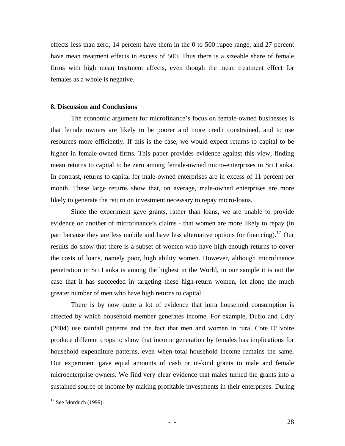effects less than zero, 14 percent have them in the 0 to 500 rupee range, and 27 percent have mean treatment effects in excess of 500. Thus there is a sizeable share of female firms with high mean treatment effects, even though the mean treatment effect for females as a whole is negative.

#### **8. Discussion and Conclusions**

The economic argument for microfinance's focus on female-owned businesses is that female owners are likely to be poorer and more credit constrained, and to use resources more efficiently. If this is the case, we would expect returns to capital to be higher in female-owned firms. This paper provides evidence against this view, finding mean returns to capital to be zero among female-owned micro-enterprises in Sri Lanka. In contrast, returns to capital for male-owned enterprises are in excess of 11 percent per month. These large returns show that, on average, male-owned enterprises are more likely to generate the return on investment necessary to repay micro-loans.

Since the experiment gave grants, rather than loans, we are unable to provide evidence on another of microfinance's claims - that women are more likely to repay (in part because they are less mobile and have less alternative options for financing).<sup>[17](#page-29-0)</sup> Our results do show that there is a subset of women who have high enough returns to cover the costs of loans, namely poor, high ability women. However, although microfinance penetration in Sri Lanka is among the highest in the World, in our sample it is not the case that it has succeeded in targeting these high-return women, let alone the much greater number of men who have high returns to capital.

There is by now quite a lot of evidence that intra household consumption is affected by which household member generates income. For example, Duflo and Udry (2004) use rainfall patterns and the fact that men and women in rural Cote D'Ivoire produce different crops to show that income generation by females has implications for household expenditure patterns, even when total household income remains the same. Our experiment gave equal amounts of cash or in-kind grants to male and female microenterprise owners. We find very clear evidence that males turned the grants into a sustained source of income by making profitable investments in their enterprises. During

 $\overline{a}$ 

<span id="page-29-0"></span> $17$  See Morduch (1999).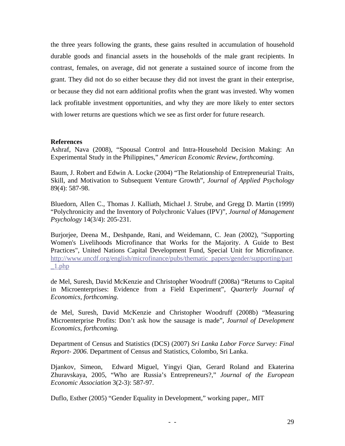the three years following the grants, these gains resulted in accumulation of household durable goods and financial assets in the households of the male grant recipients. In contrast, females, on average, did not generate a sustained source of income from the grant. They did not do so either because they did not invest the grant in their enterprise, or because they did not earn additional profits when the grant was invested. Why women lack profitable investment opportunities, and why they are more likely to enter sectors with lower returns are questions which we see as first order for future research.

#### **References**

Ashraf, Nava (2008), "Spousal Control and Intra-Household Decision Making: An Experimental Study in the Philippines," *American Economic Review*, *forthcoming.*

Baum, J. Robert and Edwin A. Locke (2004) "The Relationship of Entrepreneurial Traits, Skill, and Motivation to Subsequent Venture Growth", *Journal of Applied Psychology*  89(4): 587-98.

Bluedorn, Allen C., Thomas J. Kalliath, Michael J. Strube, and Gregg D. Martin (1999) "Polychronicity and the Inventory of Polychronic Values (IPV)", *Journal of Management Psychology* 14(3/4): 205-231.

Burjorjee, Deena M., Deshpande, Rani, and Weidemann, C. Jean (2002), "Supporting Women's Livelihoods Microfinance that Works for the Majority. A Guide to Best Practices", United Nations Capital Development Fund, Special Unit for Microfinance. [http://www.uncdf.org/english/microfinance/pubs/thematic\\_papers/gender/supporting/part](http://www.uncdf.org/english/microfinance/pubs/thematic_papers/gender/supporting/part_1.php)  $1.$ php

de Mel, Suresh, David McKenzie and Christopher Woodruff (2008a) "Returns to Capital in Microenterprises: Evidence from a Field Experiment", *Quarterly Journal of Economics, forthcoming*.

de Mel, Suresh, David McKenzie and Christopher Woodruff (2008b) "Measuring Microenterprise Profits: Don't ask how the sausage is made", *Journal of Development Economics, forthcoming.* 

Department of Census and Statistics (DCS) (2007) *Sri Lanka Labor Force Survey: Final Report- 2006.* Department of Census and Statistics, Colombo, Sri Lanka.

Djankov, Simeon, Edward Miguel, Yingyi Qian, Gerard Roland and Ekaterina Zhuravskaya, 2005, "Who are Russia's Entrepreneurs?," *Journal of the European Economic Association* 3(2-3): 587-97.

Duflo, Esther (2005) "Gender Equality in Development," working paper,. MIT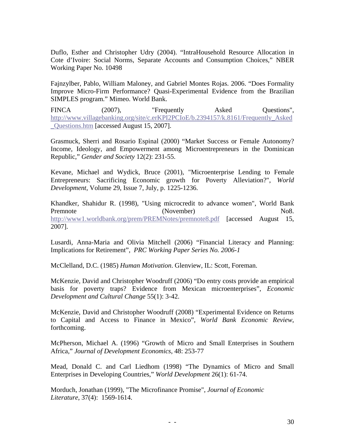Duflo, Esther and Christopher Udry (2004). "IntraHousehold Resource Allocation in Cote d'Ivoire: Social Norms, Separate Accounts and Consumption Choices," NBER Working Paper No. 10498

Fajnzylber, Pablo, William Maloney, and Gabriel Montes Rojas. 2006. "Does Formality Improve Micro-Firm Performance? Quasi-Experimental Evidence from the Brazilian SIMPLES program." Mimeo. World Bank.

FINCA (2007), "Frequently Asked Questions", [http://www.villagebanking.org/site/c.erKPI2PCIoE/b.2394157/k.8161/Frequently\\_Asked](http://www.villagebanking.org/site/c.erKPI2PCIoE/b.2394157/k.8161/Frequently_Asked_Questions.htm) [\\_Questions.htm](http://www.villagebanking.org/site/c.erKPI2PCIoE/b.2394157/k.8161/Frequently_Asked_Questions.htm) [accessed August 15, 2007].

Grasmuck, Sherri and Rosario Espinal (2000) "Market Success or Female Autonomy? Income, Ideology, and Empowerment among Microentrepreneurs in the Dominican Republic," *Gender and Society* 12(2): 231-55.

Kevane, Michael and Wydick, Bruce (2001), "Microenterprise Lending to Female Entrepreneurs: Sacrificing Economic growth for Poverty Alleviation?", *World Development*, Volume 29, Issue 7, July, p. 1225-1236.

Khandker, Shahidur R. (1998), "Using microcredit to advance women", World Bank Premnote (November) No8. <http://www1.worldbank.org/prem/PREMNotes/premnote8.pdf>[accessed August 15, 2007].

Lusardi, Anna-Maria and Olivia Mitchell (2006) "Financial Literacy and Planning: Implications for Retirement", *PRC Working Paper Series No. 2006-1* 

McClelland, D.C. (1985) *Human Motivation*. Glenview, IL: Scott, Foreman.

McKenzie, David and Christopher Woodruff (2006) "Do entry costs provide an empirical basis for poverty traps? Evidence from Mexican microenterprises", *Economic Development and Cultural Change* 55(1): 3-42.

McKenzie, David and Christopher Woodruff (2008) "Experimental Evidence on Returns to Capital and Access to Finance in Mexico", *World Bank Economic Review*, forthcoming.

McPherson, Michael A. (1996) "Growth of Micro and Small Enterprises in Southern Africa," *Journal of Development Economics*, 48: 253-77

Mead, Donald C. and Carl Liedhom (1998) "The Dynamics of Micro and Small Enterprises in Developing Countries," *World Development* 26(1): 61-74.

Morduch, Jonathan (1999), "The Microfinance Promise", *Journal of Economic Literature*, 37(4): 1569-1614.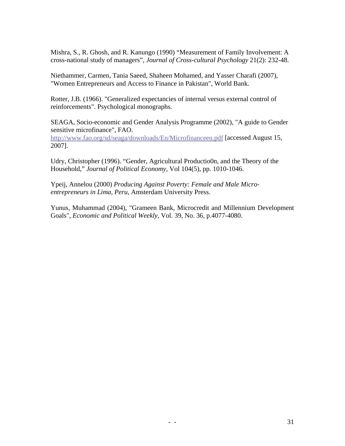Mishra, S., R. Ghosh, and R. Kanungo (1990) "Measurement of Family Involvement: A cross-national study of managers", *Journal of Cross-cultural Psychology* 21(2): 232-48.

Niethammer, Carmen, Tania Saeed, Shaheen Mohamed, and Yasser Charafi (2007), "Women Entrepreneurs and Access to Finance in Pakistan", World Bank.

Rotter, J.B. (1966). "Generalized expectancies of internal versus external control of reinforcements". Psychological monographs.

SEAGA, Socio-economic and Gender Analysis Programme (2002), "A guide to Gender sensitive microfinance", FAO. <http://www.fao.org/sd/seaga/downloads/En/Microfinanceen.pdf> [accessed August 15, 2007].

Udry, Christopher (1996). "Gender, Agricultural Productio0n, and the Theory of the Household," *Journal of Political Economy*, Vol 104(5), pp. 1010-1046.

Ypeij, Annelou (2000) *Producing Against Poverty: Female and Male Microentrepreneurs in Lima, Peru*, Amsterdam University Press.

Yunus, Muhammad (2004), "Grameen Bank, Microcredit and Millennium Development Goals", *Economic and Political Weekly*, Vol. 39, No. 36, p.4077-4080.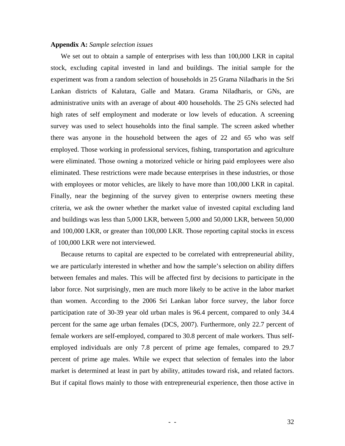#### **Appendix A:** *Sample selection issues*

We set out to obtain a sample of enterprises with less than 100,000 LKR in capital stock, excluding capital invested in land and buildings. The initial sample for the experiment was from a random selection of households in 25 Grama Niladharis in the Sri Lankan districts of Kalutara, Galle and Matara. Grama Niladharis, or GNs, are administrative units with an average of about 400 households. The 25 GNs selected had high rates of self employment and moderate or low levels of education. A screening survey was used to select households into the final sample. The screen asked whether there was anyone in the household between the ages of 22 and 65 who was self employed. Those working in professional services, fishing, transportation and agriculture were eliminated. Those owning a motorized vehicle or hiring paid employees were also eliminated. These restrictions were made because enterprises in these industries, or those with employees or motor vehicles, are likely to have more than 100,000 LKR in capital. Finally, near the beginning of the survey given to enterprise owners meeting these criteria, we ask the owner whether the market value of invested capital excluding land and buildings was less than 5,000 LKR, between 5,000 and 50,000 LKR, between 50,000 and 100,000 LKR, or greater than 100,000 LKR. Those reporting capital stocks in excess of 100,000 LKR were not interviewed.

Because returns to capital are expected to be correlated with entrepreneurial ability, we are particularly interested in whether and how the sample's selection on ability differs between females and males. This will be affected first by decisions to participate in the labor force. Not surprisingly, men are much more likely to be active in the labor market than women. According to the 2006 Sri Lankan labor force survey, the labor force participation rate of 30-39 year old urban males is 96.4 percent, compared to only 34.4 percent for the same age urban females (DCS, 2007). Furthermore, only 22.7 percent of female workers are self-employed, compared to 30.8 percent of male workers. Thus selfemployed individuals are only 7.8 percent of prime age females, compared to 29.7 percent of prime age males. While we expect that selection of females into the labor market is determined at least in part by ability, attitudes toward risk, and related factors. But if capital flows mainly to those with entrepreneurial experience, then those active in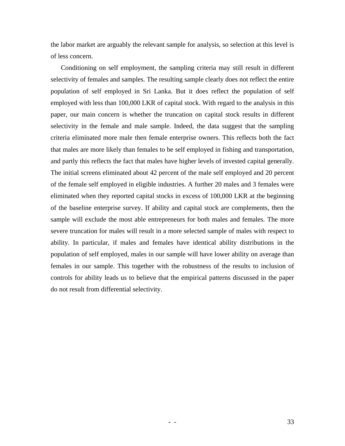the labor market are arguably the relevant sample for analysis, so selection at this level is of less concern.

Conditioning on self employment, the sampling criteria may still result in different selectivity of females and samples. The resulting sample clearly does not reflect the entire population of self employed in Sri Lanka. But it does reflect the population of self employed with less than 100,000 LKR of capital stock. With regard to the analysis in this paper, our main concern is whether the truncation on capital stock results in different selectivity in the female and male sample. Indeed, the data suggest that the sampling criteria eliminated more male then female enterprise owners. This reflects both the fact that males are more likely than females to be self employed in fishing and transportation, and partly this reflects the fact that males have higher levels of invested capital generally. The initial screens eliminated about 42 percent of the male self employed and 20 percent of the female self employed in eligible industries. A further 20 males and 3 females were eliminated when they reported capital stocks in excess of 100,000 LKR at the beginning of the baseline enterprise survey. If ability and capital stock are complements, then the sample will exclude the most able entrepreneurs for both males and females. The more severe truncation for males will result in a more selected sample of males with respect to ability. In particular, if males and females have identical ability distributions in the population of self employed, males in our sample will have lower ability on average than females in our sample. This together with the robustness of the results to inclusion of controls for ability leads us to believe that the empirical patterns discussed in the paper do not result from differential selectivity.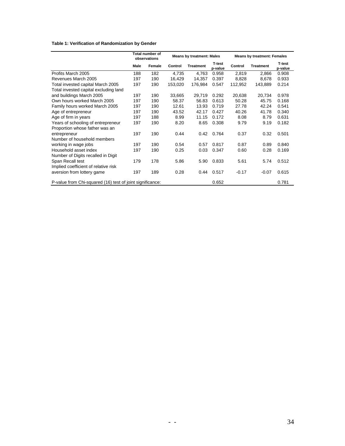#### **Table 1: Verification of Randomization by Gender**

|                                                           |      | Total number of<br>observations | <b>Means by treatment: Males</b> |                  |                   | <b>Means by treatment: Females</b> |                  |                          |
|-----------------------------------------------------------|------|---------------------------------|----------------------------------|------------------|-------------------|------------------------------------|------------------|--------------------------|
|                                                           | Male | Female                          | Control                          | <b>Treatment</b> | T-test<br>p-value | Control                            | <b>Treatment</b> | <b>T-test</b><br>p-value |
| Profits March 2005                                        | 188  | 182                             | 4,735                            | 4.763            | 0.958             | 2.819                              | 2,866            | 0.908                    |
| Revenues March 2005                                       | 197  | 190                             | 16,429                           | 14,357           | 0.397             | 8,828                              | 8,678            | 0.933                    |
| Total invested capital March 2005                         | 197  | 190                             | 153,020                          | 176,984          | 0.547             | 112,952                            | 143,889          | 0.214                    |
| Total invested capital excluding land                     |      |                                 |                                  |                  |                   |                                    |                  |                          |
| and buildings March 2005                                  | 197  | 190                             | 33,665                           | 29,719           | 0.292             | 20,638                             | 20,734           | 0.978                    |
| Own hours worked March 2005                               | 197  | 190                             | 58.37                            | 56.83            | 0.613             | 50.28                              | 45.75            | 0.168                    |
| Family hours worked March 2005                            | 197  | 190                             | 12.61                            | 13.93            | 0.719             | 27.78                              | 42.24            | 0.541                    |
| Age of entrepreneur                                       | 197  | 190                             | 43.52                            | 42.17            | 0.427             | 40.26                              | 41.78            | 0.340                    |
| Age of firm in years                                      | 197  | 188                             | 8.99                             | 11.15            | 0.172             | 8.08                               | 8.79             | 0.631                    |
| Years of schooling of entrepreneur                        | 197  | 190                             | 8.20                             | 8.65             | 0.308             | 9.79                               | 9.19             | 0.182                    |
| Proportion whose father was an                            |      |                                 |                                  |                  |                   |                                    |                  |                          |
| entrepreneur                                              | 197  | 190                             | 0.44                             | 0.42             | 0.764             | 0.37                               | 0.32             | 0.501                    |
| Number of household members                               |      |                                 |                                  |                  |                   |                                    |                  |                          |
| working in wage jobs                                      | 197  | 190                             | 0.54                             | 0.57             | 0.817             | 0.87                               | 0.89             | 0.840                    |
| Household asset index                                     | 197  | 190                             | 0.25                             | 0.03             | 0.347             | 0.60                               | 0.28             | 0.169                    |
| Number of Digits recalled in Digit                        |      |                                 |                                  |                  |                   |                                    |                  |                          |
| Span Recall test                                          | 179  | 178                             | 5.86                             | 5.90             | 0.833             | 5.61                               | 5.74             | 0.512                    |
| Implied coefficient of relative risk                      |      |                                 |                                  |                  |                   |                                    |                  |                          |
| aversion from lottery game                                | 197  | 189                             | 0.28                             | 0.44             | 0.517             | $-0.17$                            | $-0.07$          | 0.615                    |
| P-value from Chi-squared (16) test of joint significance: |      |                                 |                                  |                  | 0.652             |                                    |                  | 0.781                    |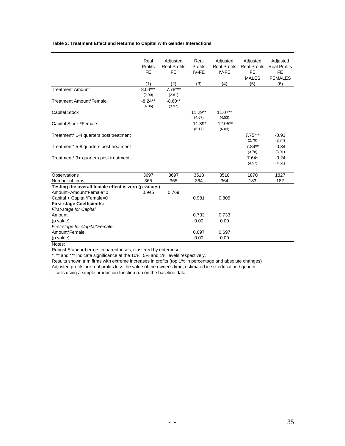#### **Table 2: Treatment Effect and Returns to Capital with Gender Interactions**

|                                                      | Real<br>Profits<br><b>FE</b><br>(1) | Adjusted<br><b>Real Profits</b><br><b>FE</b><br>(2) | Real<br>Profits<br>IV-FE<br>(3) | Adjusted<br><b>Real Profits</b><br>IV-FE<br>(4) | Adjusted<br><b>Real Profits</b><br><b>FE</b><br><b>MALES</b><br>(5) | Adjusted<br><b>Real Profits</b><br><b>FE</b><br><b>FEMALES</b><br>(6) |
|------------------------------------------------------|-------------------------------------|-----------------------------------------------------|---------------------------------|-------------------------------------------------|---------------------------------------------------------------------|-----------------------------------------------------------------------|
| <b>Treatment Amount</b>                              | $8.04***$                           | $7.78***$                                           |                                 |                                                 |                                                                     |                                                                       |
| <b>Treatment Amount*Female</b>                       | (2.90)<br>$-8.24**$<br>(4.06)       | (2.81)<br>$-8.60**$<br>(3.97)                       |                                 |                                                 |                                                                     |                                                                       |
| <b>Capital Stock</b>                                 |                                     |                                                     | $11.29**$<br>(4.67)             | $11.07**$<br>(4.53)                             |                                                                     |                                                                       |
| Capital Stock *Female                                |                                     |                                                     | $-11.39*$<br>(6.17)             | $-12.05**$<br>(6.03)                            |                                                                     |                                                                       |
| Treatment* 1-4 quarters post treatment               |                                     |                                                     |                                 |                                                 | $7.75***$<br>(2.79)                                                 | $-0.91$<br>(2.74)                                                     |
| Treatment* 5-8 quarters post treatment               |                                     |                                                     |                                 |                                                 | $7.84**$<br>(3.78)                                                  | $-0.84$<br>(3.91)                                                     |
| Treatment* 9+ quarters post treatment                |                                     |                                                     |                                 |                                                 | $7.64*$<br>(4.57)                                                   | $-3.24$<br>(4.51)                                                     |
| Observations                                         | 3697                                | 3697                                                | 3518                            | 3518                                            | 1870                                                                | 1827                                                                  |
| Number of firms                                      | 365                                 | 365                                                 | 364                             | 364                                             | 183                                                                 | 182                                                                   |
| Testing the overall female effect is zero (p-values) |                                     |                                                     |                                 |                                                 |                                                                     |                                                                       |
| Amount+Amount*Female=0                               | 0.945                               | 0.769                                               |                                 |                                                 |                                                                     |                                                                       |
| Capital + Capital*Female=0                           |                                     |                                                     | 0.981                           | 0.805                                           |                                                                     |                                                                       |
| <b>First-stage Coefficients:</b>                     |                                     |                                                     |                                 |                                                 |                                                                     |                                                                       |
| First-stage for Capital                              |                                     |                                                     |                                 |                                                 |                                                                     |                                                                       |
| Amount                                               |                                     |                                                     | 0.733                           | 0.733                                           |                                                                     |                                                                       |
| (p value)                                            |                                     |                                                     | 0.00                            | 0.00                                            |                                                                     |                                                                       |
| First-stage for Capital*Female<br>Amount*Female      |                                     |                                                     |                                 |                                                 |                                                                     |                                                                       |
|                                                      |                                     |                                                     | 0.697<br>0.00                   | 0.697<br>0.00                                   |                                                                     |                                                                       |
| (p value)                                            |                                     |                                                     |                                 |                                                 |                                                                     |                                                                       |

Notes:

Robust Standard errors in parentheses, clustered by enterprise

\*, \*\* and \*\*\* indicate significance at the 10%, 5% and 1% levels respectively.

Results shown trim firms with extreme increases in profits (top 1% in percentage and absolute changes) Adjusted profits are real profits less the value of the owner's time, estimated in six education / gender

cells using a simple production function run on the baseline data.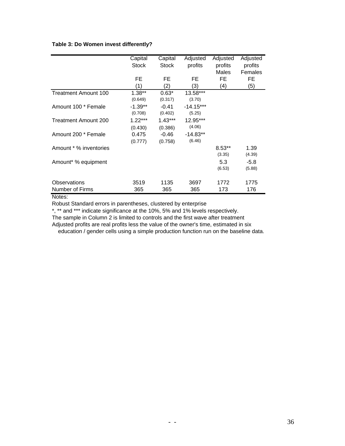#### **Table 3: Do Women invest differently?**

|                                 | Capital<br><b>Stock</b> | Capital<br><b>Stock</b> | Adjusted<br>profits   | Adjusted<br>profits<br>Males | Adjusted<br>profits<br>Females |
|---------------------------------|-------------------------|-------------------------|-----------------------|------------------------------|--------------------------------|
|                                 | FE                      | FE                      | FE                    | FE                           | FE                             |
|                                 | (1)                     | (2)                     | (3)                   | (4)                          | (5)                            |
| <b>Treatment Amount 100</b>     | $1.38**$<br>(0.649)     | $0.63*$<br>(0.317)      | 13.58***<br>(3.70)    |                              |                                |
| Amount 100 * Female             | $-1.39**$<br>(0.708)    | $-0.41$<br>(0.402)      | $-14.15***$<br>(5.25) |                              |                                |
| Treatment Amount 200            | $1.22***$<br>(0.430)    | $1.43***$<br>(0.386)    | 12.95***<br>(4.06)    |                              |                                |
| Amount 200 * Female             | 0.475<br>(0.777)        | $-0.46$<br>(0.758)      | $-14.83**$<br>(6.46)  |                              |                                |
| Amount * % inventories          |                         |                         |                       | $8.53**$<br>(3.35)           | 1.39<br>(4.39)                 |
| Amount* % equipment             |                         |                         |                       | 5.3<br>(6.53)                | $-5.8$<br>(5.88)               |
| Observations<br>Number of Firms | 3519<br>365             | 1135<br>365             | 3697<br>365           | 1772<br>173                  | 1775<br>176                    |

Notes:

Robust Standard errors in parentheses, clustered by enterprise

\*, \*\* and \*\*\* indicate significance at the 10%, 5% and 1% levels respectively.

The sample in Column 2 is limited to controls and the first wave after treatment

Adjusted profits are real profits less the value of the owner's time, estimated in six education / gender cells using a simple production function run on the baseline data.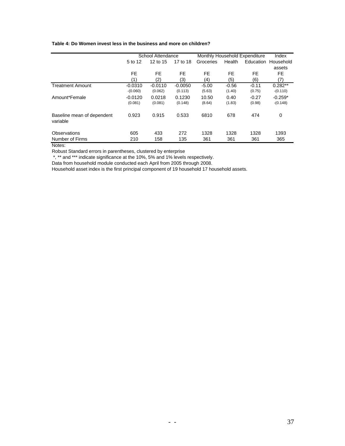#### **Table 4: Do Women invest less in the business and more on children?**

|                                        |                         | School Attendance    |                      |                   |                   | Monthly Household Expenditure | Index                   |
|----------------------------------------|-------------------------|----------------------|----------------------|-------------------|-------------------|-------------------------------|-------------------------|
|                                        | 5 to 12                 | 12 to 15             | 17 to 18             | Groceries         | Health            |                               | Education Household     |
|                                        |                         |                      |                      |                   |                   |                               | assets                  |
|                                        | FE.                     | FE.                  | FE.                  | FE                | FE                | FE                            | FE.                     |
|                                        | (1)                     | (2)                  | (3)                  | (4)               | (5)               | (6)                           | (7)                     |
| <b>Treatment Amount</b>                | $-0.0310$<br>$-(0.060)$ | $-0.0110$<br>(0.062) | $-0.0050$<br>(0.113) | $-5.00$<br>(5.63) | $-0.56$<br>(1.40) | $-0.11$<br>(0.75)             | $0.282**$<br>$-(0.110)$ |
| Amount*Female                          | $-0.0120$<br>(0.081)    | 0.0218<br>(0.081)    | 0.1230<br>(0.148)    | 10.50<br>(8.64)   | 0.40<br>(1.83)    | $-0.27$<br>(0.98)             | $-0.259*$<br>$-(0.148)$ |
| Baseline mean of dependent<br>variable | 0.923                   | 0.915                | 0.533                | 6810              | 678               | 474                           | 0                       |
| Observations<br>Number of Firms        | 605<br>210              | 433<br>158           | 272<br>135           | 1328<br>361       | 1328<br>361       | 1328<br>361                   | 1393<br>365             |

Notes:

Robust Standard errors in parentheses, clustered by enterprise

\*, \*\* and \*\*\* indicate significance at the 10%, 5% and 1% levels respectively.

Data from household module conducted each April from 2005 through 2008.

Household asset index is the first principal component of 19 household 17 household assets.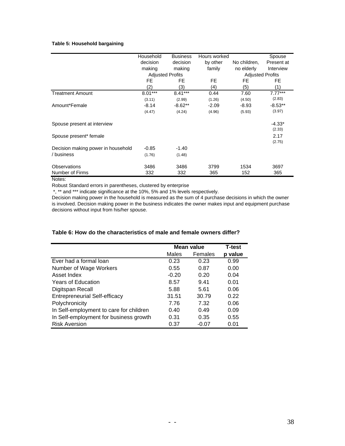#### **Table 5: Household bargaining**

|                                    | Household               | <b>Business</b> | Hours worked |                         | Spouse     |
|------------------------------------|-------------------------|-----------------|--------------|-------------------------|------------|
|                                    | decision                | decision        | by other     | No children,            | Present at |
|                                    | making                  | making          | family       | no elderly              | Interview  |
|                                    | <b>Adjusted Profits</b> |                 |              | <b>Adjusted Profits</b> |            |
|                                    | FE                      | FE              | FE           | FE.                     | FE         |
|                                    | (2)                     | (3)             | (4)          | (5)                     | (1)        |
| <b>Treatment Amount</b>            | $8.01***$               | $8.41***$       | 0.44         | 7.60                    | $7.77***$  |
|                                    | (3.11)                  | (2.99)          | (1.26)       | (4.50)                  | (2.83)     |
| Amount*Female                      | $-8.14$                 | $-8.62**$       | $-2.09$      | $-8.93$                 | $-8.53**$  |
|                                    | (4.47)                  | (4.24)          | (4.96)       | (5.93)                  | (3.97)     |
| Spouse present at interview        |                         |                 |              |                         | $-4.33*$   |
|                                    |                         |                 |              |                         | (2.33)     |
| Spouse present* female             |                         |                 |              |                         | 2.17       |
|                                    |                         |                 |              |                         | (2.75)     |
| Decision making power in household | $-0.85$                 | $-1.40$         |              |                         |            |
| / business                         | (1.76)                  | (1.48)          |              |                         |            |
| Observations                       | 3486                    | 3486            | 3799         | 1534                    | 3697       |
| Number of Firms                    | 332                     | 332             | 365          | 152                     | 365        |

Notes:

Robust Standard errors in parentheses, clustered by enterprise

\*, \*\* and \*\*\* indicate significance at the 10%, 5% and 1% levels respectively.

Decision making power in the household is measured as the sum of 4 purchase decisions in which the owner is involved. Decision making power in the business indicates the owner makes input and equipment purchase decisions without input from his/her spouse.

#### **Table 6: How do the characteristics of male and female owners differ?**

|                                         | Mean value |         | <b>T-test</b> |
|-----------------------------------------|------------|---------|---------------|
|                                         | Males      | Females | p value       |
| Ever had a formal loan                  | 0.23       | 0.23    | 0.99          |
| Number of Wage Workers                  | 0.55       | 0.87    | 0.00          |
| Asset Index                             | $-0.20$    | 0.20    | 0.04          |
| <b>Years of Education</b>               | 8.57       | 9.41    | 0.01          |
| Digitspan Recall                        | 5.88       | 5.61    | 0.06          |
| <b>Entrepreneurial Self-efficacy</b>    | 31.51      | 30.79   | 0.22          |
| Polychronicity                          | 7.76       | 7.32    | 0.06          |
| In Self-employment to care for children | 0.40       | 0.49    | 0.09          |
| In Self-employment for business growth  | 0.31       | 0.35    | 0.55          |
| <b>Risk Aversion</b>                    | 0.37       | $-0.07$ | 0.01          |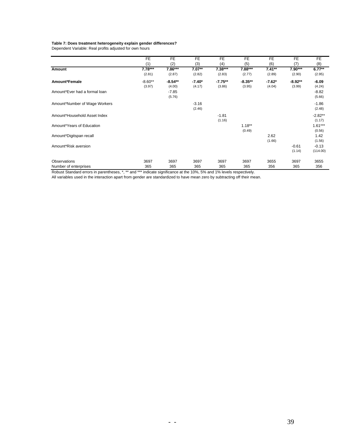#### **Table 7: Does treatment heterogeneity explain gender differences?**

Dependent Variable: Real profits adjusted for own hours

|                               | FE        | FE        | FE       | FE        | FE        | FE       | FE        | FE        |
|-------------------------------|-----------|-----------|----------|-----------|-----------|----------|-----------|-----------|
|                               | (1)       | (2)       | (3)      | (4)       | (5)       | (6)      | (7)       | (8)       |
| Amount                        | $7.78***$ | $7.86***$ | $7.07**$ | $7.38***$ | $7.88***$ | $7.41**$ | $7.90***$ | $6.77**$  |
|                               | (2.81)    | (2.87)    | (2.82)   | (2.83)    | (2.77)    | (2.89)   | (2.90)    | (2.95)    |
| Amount*Female                 | $-8.60**$ | $-8.54**$ | $-7.40*$ | $-7.75**$ | $-8.35**$ | $-7.62*$ | $-8.92**$ | $-6.09$   |
|                               | (3.97)    | (4.00)    | (4.17)   | (3.86)    | (3.95)    | (4.04)   | (3.99)    | (4.24)    |
| Amount*Ever had a formal loan |           | $-7.85$   |          |           |           |          |           | $-8.82$   |
|                               |           | (5.76)    |          |           |           |          |           | (5.66)    |
| Amount*Number of Wage Workers |           |           | $-3.16$  |           |           |          |           | $-1.86$   |
|                               |           |           | (2.46)   |           |           |          |           | (2.48)    |
| Amount*Household Asset Index  |           |           |          | $-1.81$   |           |          |           | $-2.82**$ |
|                               |           |           |          | (1.16)    |           |          |           | (1.17)    |
| Amount*Years of Education     |           |           |          |           | $1.18***$ |          |           | $1.61***$ |
|                               |           |           |          |           | (0.49)    |          |           | (0.56)    |
| Amount*Digitspan recall       |           |           |          |           |           | 2.62     |           | 1.42      |
|                               |           |           |          |           |           | (1.66)   |           | (1.56)    |
| Amount*Risk aversion          |           |           |          |           |           |          | $-0.61$   | $-0.13$   |
|                               |           |           |          |           |           |          | (1.14)    | (114.00)  |
| Observations                  | 3697      | 3697      | 3697     | 3697      | 3697      | 3655     | 3697      | 3655      |
| Number of enterprises         | 365       | 365       | 365      | 365       | 365       | 356      | 365       | 356       |

Robust Standard errors in parentheses, \*, \*\* and \*\*\* indicate significance at the 10%, 5% and 1% levels respectively.

All variables used in the interaction apart from gender are standardized to have mean zero by subtracting off their mean.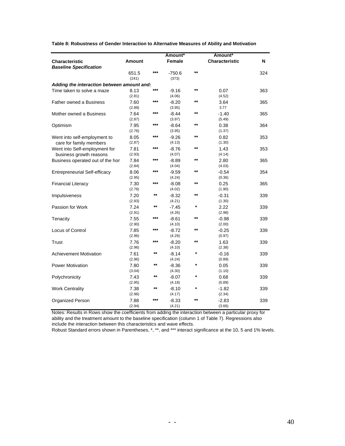**Table 8: Robustness of Gender Interaction to Alternative Measures of Ability and Motivation**

|                                            |                |                 | Amount*           |              | Amount*               |     |
|--------------------------------------------|----------------|-----------------|-------------------|--------------|-----------------------|-----|
| <b>Characteristic</b>                      | Amount         |                 | Female            |              | <b>Characteristic</b> | N   |
| <b>Baseline Specification</b>              |                |                 |                   |              |                       |     |
|                                            | 651.5          | ***             | $-750.6$          | $***$        |                       | 324 |
|                                            | (241)          |                 | (373)             |              |                       |     |
| Adding the interaction between amount and: |                |                 |                   |              |                       |     |
| Time taken to solve a maze                 | 8.13           | $***$           | $-9.16$           | $***$        | 0.07                  | 363 |
|                                            | (2.81)         |                 | (4.06)            |              | (4.52)                |     |
| Father owned a Business                    | 7.60           | ***             | $-8.20$           | $***$        | 3.64                  | 365 |
|                                            | (2.89)         |                 | (3.95)            |              | 3.77                  |     |
| Mother owned a Business                    | 7.64           | ***             | $-8.44$           | $\star\star$ | $-1.40$               | 365 |
|                                            | (2.87)         |                 | (3.97)            |              | (5.49)                |     |
| Optimism                                   | 7.95           | ***             | $-8.64$           | $***$        | 0.38                  | 364 |
|                                            | (2.76)         |                 | (3.95)            |              | (1.37)                |     |
| Went into self-employment to               | 8.05           | $***$           | $-9.26$           | $***$        | 0.82                  | 353 |
| care for family members                    | (2.87)         |                 | (4.13)            |              | (1.30)                |     |
| Went into Self-employment for              | 7.81           | ***             | $-8.76$           | $\star\star$ | 1.43                  | 353 |
| business growth reasons                    | (2.93)         |                 | (4.07)            |              | (4.14)                |     |
| Business operated out of the hor           | 7.84           | ***             | $-8.89$           | $***$        | 2.80                  | 365 |
|                                            | (2.84)         |                 | (4.04)            |              | (4.03)                |     |
|                                            |                | $***$           |                   | $***$        |                       |     |
| <b>Entrepreneurial Self-efficacy</b>       | 8.06<br>(2.95) |                 | $-9.59$<br>(4.24) |              | $-0.54$               | 354 |
|                                            |                | $***$           |                   | $\star\star$ | (0.36)                |     |
| <b>Financial Literacy</b>                  | 7.30           |                 | $-8.08$           |              | 0.25                  | 365 |
|                                            | (2.76)         | **              | (4.02)            | **           | (1.90)                |     |
| Impulsiveness                              | 7.20           |                 | $-8.32$           |              | $-0.31$               | 339 |
|                                            | (2.93)         | **              | (4.21)            | *            | (1.30)                |     |
| Passion for Work                           | 7.24           |                 | $-7.45$           |              | 2.22                  | 339 |
|                                            | (2.91)         | $***$           | (4.26)            | $\star\star$ | (2.98)                |     |
| Tenacity                                   | 7.55           |                 | $-8.61$           |              | $-0.98$               | 339 |
|                                            | (2.90)         |                 | (4.10)            |              | (2.00)                |     |
| Locus of Control                           | 7.85           | $***$           | $-8.72$           | **           | $-0.25$               | 339 |
|                                            | (2.96)         |                 | (4.29)            |              | (0.97)                |     |
| Trust                                      | 7.76           | ***             | $-8.20$           | $***$        | 1.63                  | 339 |
|                                            | (2.96)         |                 | (4.10)            |              | (2.38)                |     |
| <b>Achievement Motivation</b>              | 7.61           | $***$           | $-8.14$           | *            | $-0.16$               | 339 |
|                                            | (2.96)         |                 | (4.24)            |              | (0.89)                |     |
| Power Motivation                           | 7.80           | $***$           | $-8.36$           | $\star$      | 0.05                  | 339 |
|                                            | (3.04)         |                 | (4.30)            |              | (1.10)                |     |
| Polychronicity                             | 7.43           | **              | $-8.07$           | *            | 0.68                  | 339 |
|                                            | (2.95)         |                 | (4.18)            |              | (0.89)                |     |
| <b>Work Centrality</b>                     | 7.38           | $^{\star\star}$ | $-8.10$           | $\star$      | $-1.82$               | 339 |
|                                            | (2.96)         |                 | (4.17)            |              | (2.34)                |     |
| Organized Person                           | 7.88           | ***             | $-8.33$           | $***$        | $-2.83$               | 339 |
|                                            | (2.94)         |                 | (4.21)            |              | (3.66)                |     |

Notes: Results in Rows show the coefficients from adding the interaction between a particular proxy for ability and the treatment amount to the baseline specification (column 1 of Table 7). Regressions also include the interaction between this characteristics and wave effects.

Robust Standard errors shown in Parentheses, \*, \*\*, and \*\*\* interact significance at the 10, 5 and 1% levels.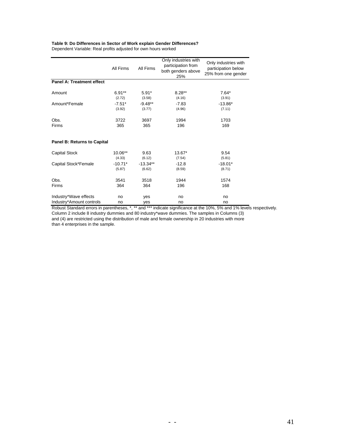## **Table 9: Do Differences in Sector of Work explain Gender Differences?**

Dependent Variable: Real profits adjusted for own hours worked

|                                  | All Firms | Only industries with<br>participation from<br>All Firms<br>both genders above<br>25% |         | Only industries with<br>participation below<br>25% from one gender |
|----------------------------------|-----------|--------------------------------------------------------------------------------------|---------|--------------------------------------------------------------------|
| <b>Panel A: Treatment effect</b> |           |                                                                                      |         |                                                                    |
| Amount                           | $6.91**$  | $5.91*$                                                                              | 8.28**  | $7.64*$                                                            |
|                                  | (2.72)    | (3.58)                                                                               | (4.16)  | (3.91)                                                             |
| Amount*Female                    | $-7.51*$  | $-9.48**$                                                                            | $-7.83$ | $-13.86*$                                                          |
|                                  | (3.92)    | (3.77)                                                                               | (4.96)  | (7.11)                                                             |
| Obs.                             | 3722      | 3697                                                                                 | 1994    | 1703                                                               |
| Firms                            | 365       | 365                                                                                  | 196     | 169                                                                |
| Panel B: Returns to Capital      |           |                                                                                      |         |                                                                    |
| <b>Capital Stock</b>             | 10.06**   | 9.63                                                                                 | 13.67*  | 9.54                                                               |
|                                  | (4.33)    | (6.12)                                                                               | (7.54)  | (5.81)                                                             |
| Capital Stock*Female             | $-10.71*$ | $-13.34**$                                                                           | $-12.8$ | $-18.01*$                                                          |
|                                  | (5.87)    | (6.62)                                                                               | (8.59)  | (8.71)                                                             |
| Obs.                             | 3541      | 3518                                                                                 | 1944    | 1574                                                               |
| Firms                            | 364       | 364                                                                                  | 196     | 168                                                                |
| Industry*Wave effects            | no        | yes                                                                                  | no      | no                                                                 |
| Industry*Amount controls         | no        | yes                                                                                  | no      | no                                                                 |

Robust Standard errors in parentheses, \*, \*\* and \*\*\* indicate significance at the 10%, 5% and 1% levels respectively. Column 2 include 8 industry dummies and 80 industry\*wave dummies. The samples in Columns (3) and (4) are restricted using the distribution of male and female ownership in 20 industries with more than 4 enterprises in the sample.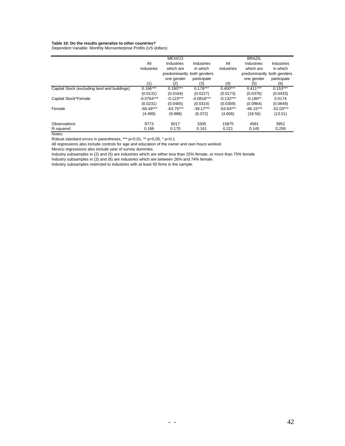#### **Table 10: Do the results generalize to other countries?**

Dependent Variable: Monthly Microenterprise Profits (US dollars)

|                                              |              | <b>MEXICO</b>              |              |             | <b>BRAZIL</b>              |             |
|----------------------------------------------|--------------|----------------------------|--------------|-------------|----------------------------|-------------|
|                                              | All          | Industries                 | Industries   | All         | Industries                 | Industries  |
|                                              | industries   | which are                  | in which     | industries  | which are                  | in which    |
|                                              |              | predominantly both genders |              |             | predominantly both genders |             |
|                                              |              | one gender                 | participate  |             | one gender                 | participate |
|                                              | (1)          | (2)                        | (3)          | (4)         | (5)                        | (6)         |
| Capital Stock (excluding land and buildings) | $0.166***$   | $0.180***$                 | $0.178***$   | $0.400***$  | $0.411***$                 | $0.153***$  |
|                                              | (0.0131)     | (0.0164)                   | (0.0227)     | (0.0173)    | (0.0376)                   | (0.0433)    |
| Capital Stock*Female                         | $-0.0764***$ | $-0.123***$                | $-0.0816***$ | $-0.132***$ | $-0.190**$                 | 0.0174      |
|                                              | (0.0231)     | (0.0465)                   | (0.0314)     | (0.0309)    | (0.0964)                   | (0.0649)    |
| Female                                       | $-66.49***$  | $-63.75***$                | $-39.17***$  | $-63.64***$ | $-66.15***$                | $-52.03***$ |
|                                              | (4.499)      | (9.988)                    | (6.072)      | (4.606)     | (18.56)                    | (13.51)     |
| Observations                                 | 9773         | 6017                       | 3305         | 15875       | 4581                       | 3952        |
| R-squared                                    | 0.186        | 0.170                      | 0.161        | 0.221       | 0.145                      | 0.259       |

*Notes:*

Robust standard errors in parentheses, \*\*\* p<0.01, \*\* p<0.05, \* p<0.1

All regressions also include controls for age and education of the owner and own hours worked.

Mexico regressions also include year of survey dummies.

Industry subsamples in (2) and (5) are industries which are either less than 25% female, or more than 75% female

Industry subsamples in (3) and (6) are industries which are between 26% and 74% female.

Industry subsamples restricted to industries with at least 50 firms in the sample.